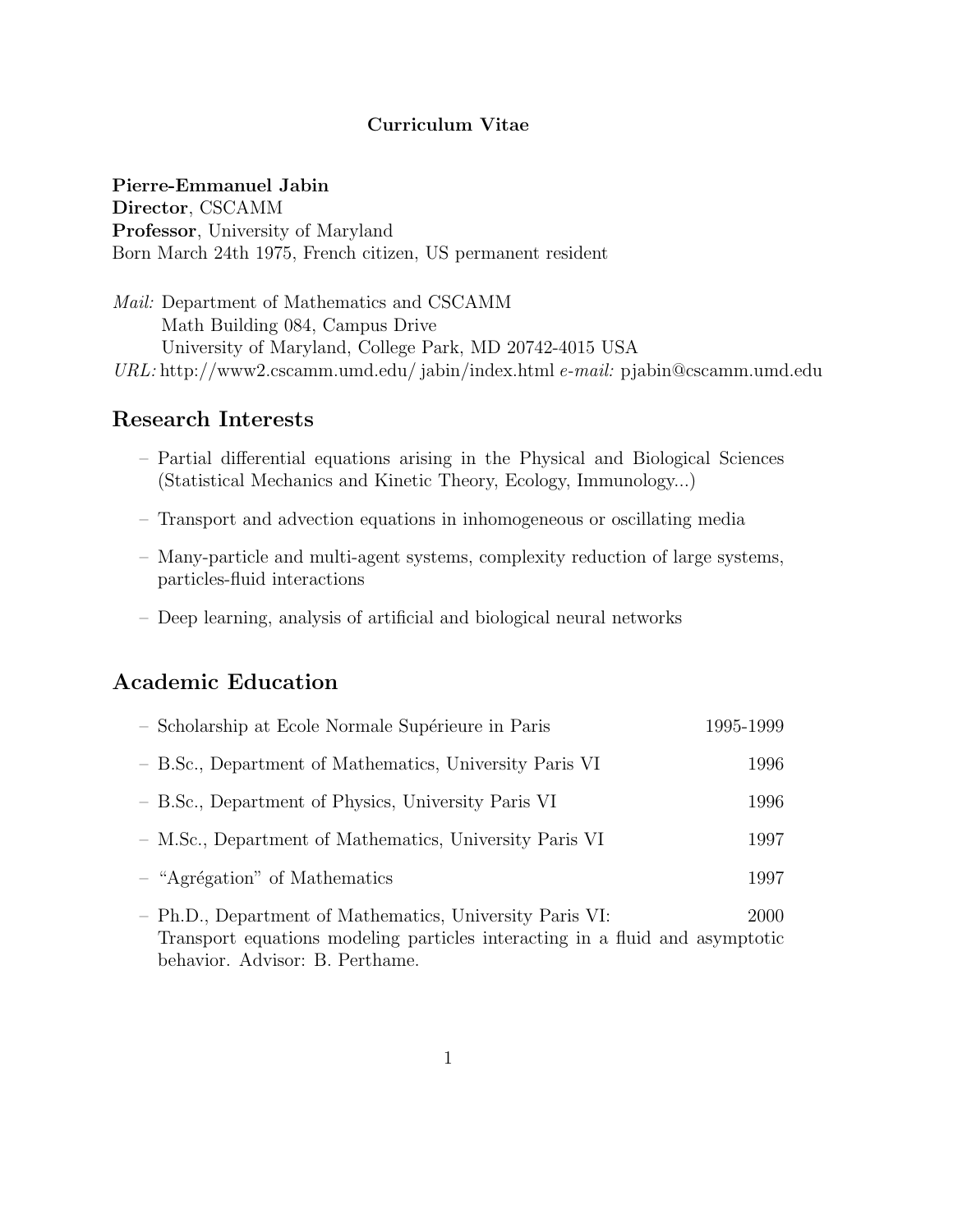### Curriculum Vitae

### Pierre-Emmanuel Jabin

Director, CSCAMM Professor, University of Maryland Born March 24th 1975, French citizen, US permanent resident

Mail: Department of Mathematics and CSCAMM Math Building 084, Campus Drive University of Maryland, College Park, MD 20742-4015 USA URL: http://www2.cscamm.umd.edu/ jabin/index.html e-mail: pjabin@cscamm.umd.edu

## Research Interests

- Partial differential equations arising in the Physical and Biological Sciences (Statistical Mechanics and Kinetic Theory, Ecology, Immunology...)
- Transport and advection equations in inhomogeneous or oscillating media
- Many-particle and multi-agent systems, complexity reduction of large systems, particles-fluid interactions
- Deep learning, analysis of artificial and biological neural networks

# Academic Education

| - Scholarship at Ecole Normale Supérieure in Paris       | 1995-1999 |
|----------------------------------------------------------|-----------|
| - B.Sc., Department of Mathematics, University Paris VI  | 1996      |
| - B.Sc., Department of Physics, University Paris VI      | 1996      |
| - M.Sc., Department of Mathematics, University Paris VI  | 1997      |
| $-$ "Agrégation" of Mathematics                          | 1997      |
| - Ph.D., Department of Mathematics, University Paris VI: | 2000      |

Transport equations modeling particles interacting in a fluid and asymptotic behavior. Advisor: B. Perthame.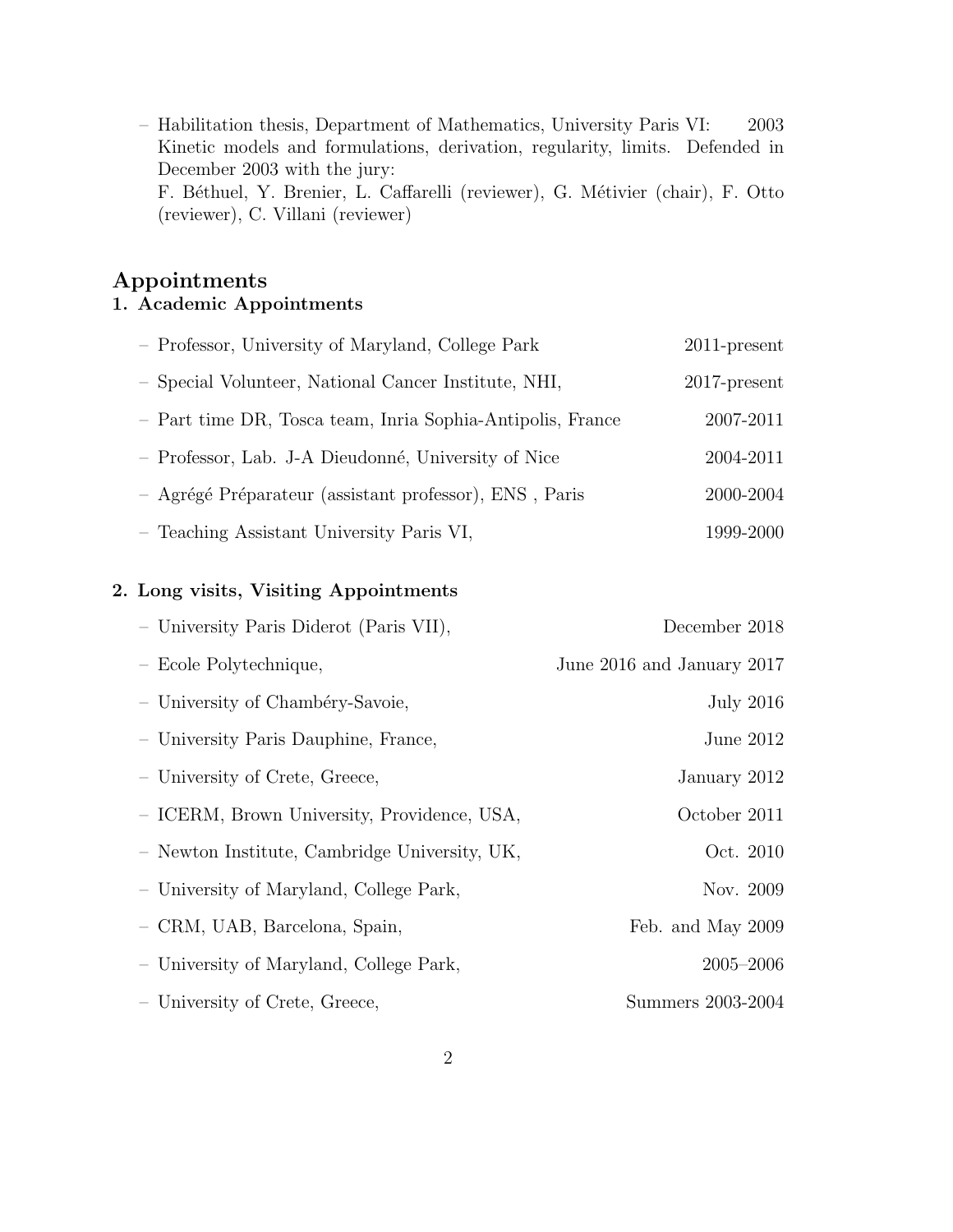– Habilitation thesis, Department of Mathematics, University Paris VI: 2003 Kinetic models and formulations, derivation, regularity, limits. Defended in December 2003 with the jury: F. Béthuel, Y. Brenier, L. Caffarelli (reviewer), G. Métivier (chair), F. Otto (reviewer), C. Villani (reviewer)

# Appointments 1. Academic Appointments

| - Professor, University of Maryland, College Park          | $2011$ -present |
|------------------------------------------------------------|-----------------|
| - Special Volunteer, National Cancer Institute, NHI,       | $2017$ -present |
| - Part time DR, Tosca team, Inria Sophia-Antipolis, France | 2007-2011       |
| - Professor, Lab. J-A Dieudonné, University of Nice        | 2004-2011       |
| - Agrégé Préparateur (assistant professor), ENS, Paris     | 2000-2004       |
| - Teaching Assistant University Paris VI,                  | 1999-2000       |

### 2. Long visits, Visiting Appointments

| - University Paris Diderot (Paris VII),       | December 2018              |
|-----------------------------------------------|----------------------------|
| - Ecole Polytechnique,                        | June 2016 and January 2017 |
| - University of Chambéry-Savoie,              | <b>July 2016</b>           |
| - University Paris Dauphine, France,          | June $2012$                |
| - University of Crete, Greece,                | January 2012               |
| - ICERM, Brown University, Providence, USA,   | October 2011               |
| - Newton Institute, Cambridge University, UK, | Oct. 2010                  |
| - University of Maryland, College Park,       | Nov. 2009                  |
| - CRM, UAB, Barcelona, Spain,                 | Feb. and May 2009          |
| - University of Maryland, College Park,       | $2005 - 2006$              |
| - University of Crete, Greece,                | Summers 2003-2004          |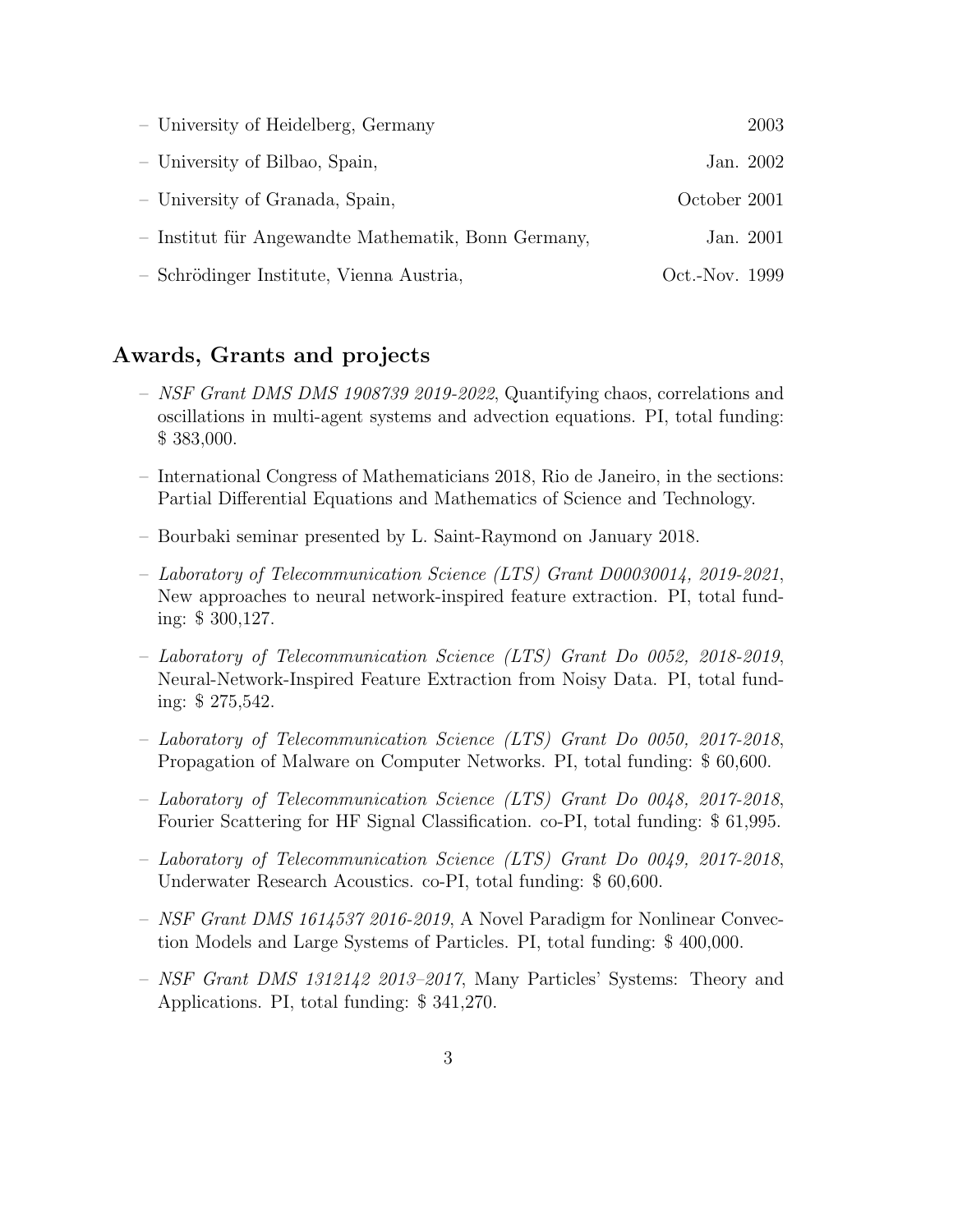| - University of Heidelberg, Germany                 | 2003           |
|-----------------------------------------------------|----------------|
| - University of Bilbao, Spain,                      | Jan. 2002      |
| - University of Granada, Spain,                     | October 2001   |
| - Institut für Angewandte Mathematik, Bonn Germany, | Jan. 2001      |
| - Schrödinger Institute, Vienna Austria,            | Oct.-Nov. 1999 |

# Awards, Grants and projects

- $-$  NSF Grant DMS DMS 1908739 2019-2022, Quantifying chaos, correlations and oscillations in multi-agent systems and advection equations. PI, total funding: \$ 383,000.
- International Congress of Mathematicians 2018, Rio de Janeiro, in the sections: Partial Differential Equations and Mathematics of Science and Technology.
- Bourbaki seminar presented by L. Saint-Raymond on January 2018.
- Laboratory of Telecommunication Science (LTS) Grant D00030014, 2019-2021, New approaches to neural network-inspired feature extraction. PI, total funding: \$ 300,127.
- Laboratory of Telecommunication Science (LTS) Grant Do 0052, 2018-2019, Neural-Network-Inspired Feature Extraction from Noisy Data. PI, total funding: \$ 275,542.
- Laboratory of Telecommunication Science (LTS) Grant Do 0050, 2017-2018, Propagation of Malware on Computer Networks. PI, total funding: \$ 60,600.
- Laboratory of Telecommunication Science (LTS) Grant Do 0048, 2017-2018, Fourier Scattering for HF Signal Classification. co-PI, total funding: \$ 61,995.
- Laboratory of Telecommunication Science (LTS) Grant Do 0049, 2017-2018, Underwater Research Acoustics. co-PI, total funding: \$ 60,600.
- NSF Grant DMS 1614537 2016-2019, A Novel Paradigm for Nonlinear Convection Models and Large Systems of Particles. PI, total funding: \$ 400,000.
- NSF Grant DMS 1312142 2013–2017, Many Particles' Systems: Theory and Applications. PI, total funding: \$ 341,270.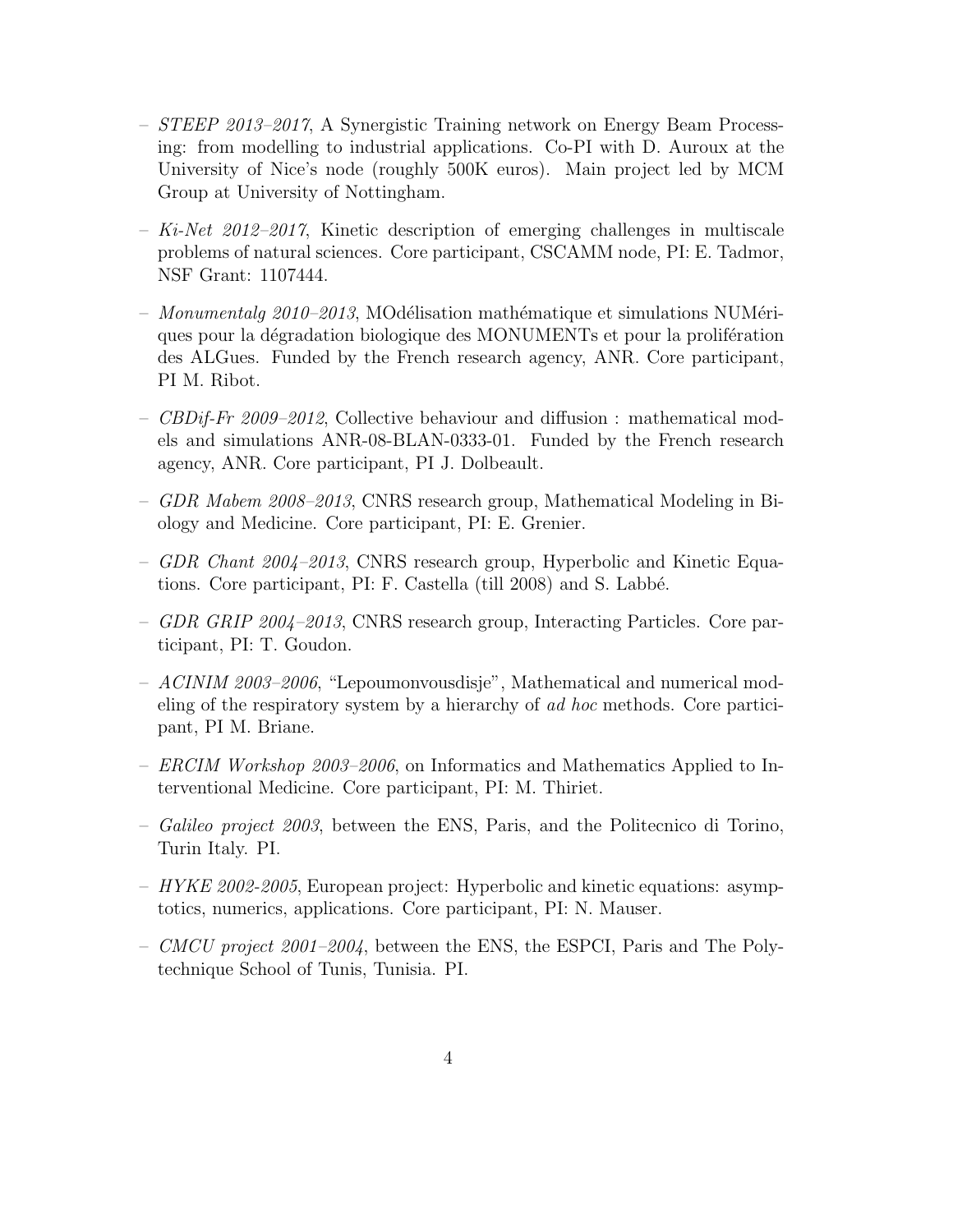- STEEP 2013–2017, A Synergistic Training network on Energy Beam Processing: from modelling to industrial applications. Co-PI with D. Auroux at the University of Nice's node (roughly 500K euros). Main project led by MCM Group at University of Nottingham.
- $-$  Ki-Net 2012–2017, Kinetic description of emerging challenges in multiscale problems of natural sciences. Core participant, CSCAMM node, PI: E. Tadmor, NSF Grant: 1107444.
- Monumentalg  $2010$ –2013, MOdélisation mathématique et simulations NUMériques pour la dégradation biologique des MONUMENTs et pour la proliferation des ALGues. Funded by the French research agency, ANR. Core participant, PI M. Ribot.
- CBDif-Fr 2009–2012, Collective behaviour and diffusion : mathematical models and simulations ANR-08-BLAN-0333-01. Funded by the French research agency, ANR. Core participant, PI J. Dolbeault.
- GDR Mabem 2008–2013, CNRS research group, Mathematical Modeling in Biology and Medicine. Core participant, PI: E. Grenier.
- $GDR$  Chant  $2004-2013$ , CNRS research group, Hyperbolic and Kinetic Equations. Core participant, PI: F. Castella (till 2008) and S. Labbé.
- GDR GRIP 2004–2013, CNRS research group, Interacting Particles. Core participant, PI: T. Goudon.
- ACINIM 2003–2006, "Lepoumonvousdisje", Mathematical and numerical modeling of the respiratory system by a hierarchy of ad hoc methods. Core participant, PI M. Briane.
- ERCIM Workshop 2003–2006, on Informatics and Mathematics Applied to Interventional Medicine. Core participant, PI: M. Thiriet.
- Galileo project 2003, between the ENS, Paris, and the Politecnico di Torino, Turin Italy. PI.
- $-$  HYKE 2002-2005, European project: Hyperbolic and kinetic equations: asymptotics, numerics, applications. Core participant, PI: N. Mauser.
- *CMCU project 2001–2004*, between the ENS, the ESPCI, Paris and The Polytechnique School of Tunis, Tunisia. PI.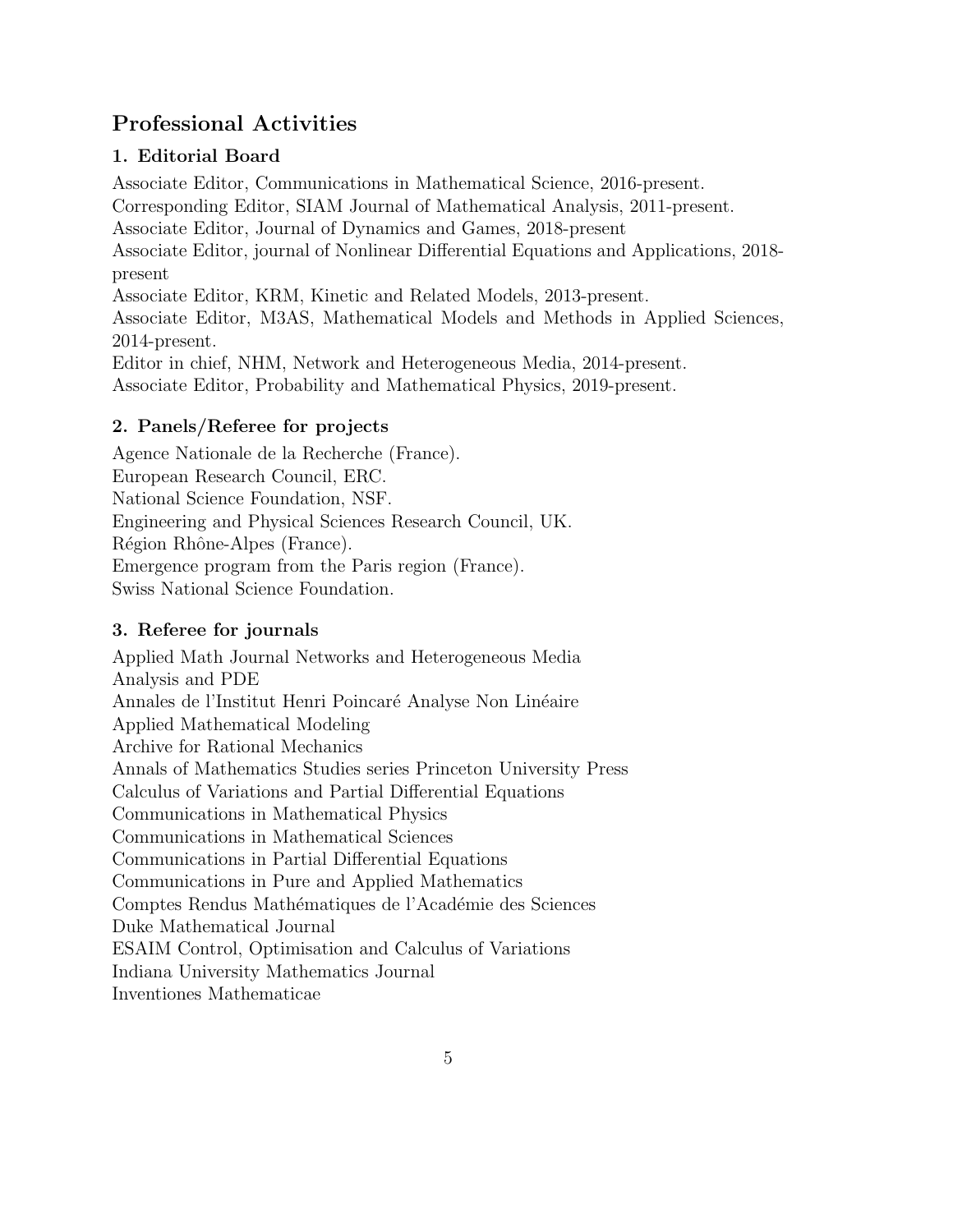# Professional Activities

# 1. Editorial Board

Associate Editor, Communications in Mathematical Science, 2016-present. Corresponding Editor, SIAM Journal of Mathematical Analysis, 2011-present. Associate Editor, Journal of Dynamics and Games, 2018-present Associate Editor, journal of Nonlinear Differential Equations and Applications, 2018 present Associate Editor, KRM, Kinetic and Related Models, 2013-present. Associate Editor, M3AS, Mathematical Models and Methods in Applied Sciences, 2014-present. Editor in chief, NHM, Network and Heterogeneous Media, 2014-present. Associate Editor, Probability and Mathematical Physics, 2019-present.

# 2. Panels/Referee for projects

Agence Nationale de la Recherche (France). European Research Council, ERC. National Science Foundation, NSF. Engineering and Physical Sciences Research Council, UK. Région Rhône-Alpes (France). Emergence program from the Paris region (France). Swiss National Science Foundation.

# 3. Referee for journals

Applied Math Journal Networks and Heterogeneous Media Analysis and PDE Annales de l'Institut Henri Poincaré Analyse Non Linéaire Applied Mathematical Modeling Archive for Rational Mechanics Annals of Mathematics Studies series Princeton University Press Calculus of Variations and Partial Differential Equations Communications in Mathematical Physics Communications in Mathematical Sciences Communications in Partial Differential Equations Communications in Pure and Applied Mathematics Comptes Rendus Mathématiques de l'Académie des Sciences Duke Mathematical Journal ESAIM Control, Optimisation and Calculus of Variations Indiana University Mathematics Journal Inventiones Mathematicae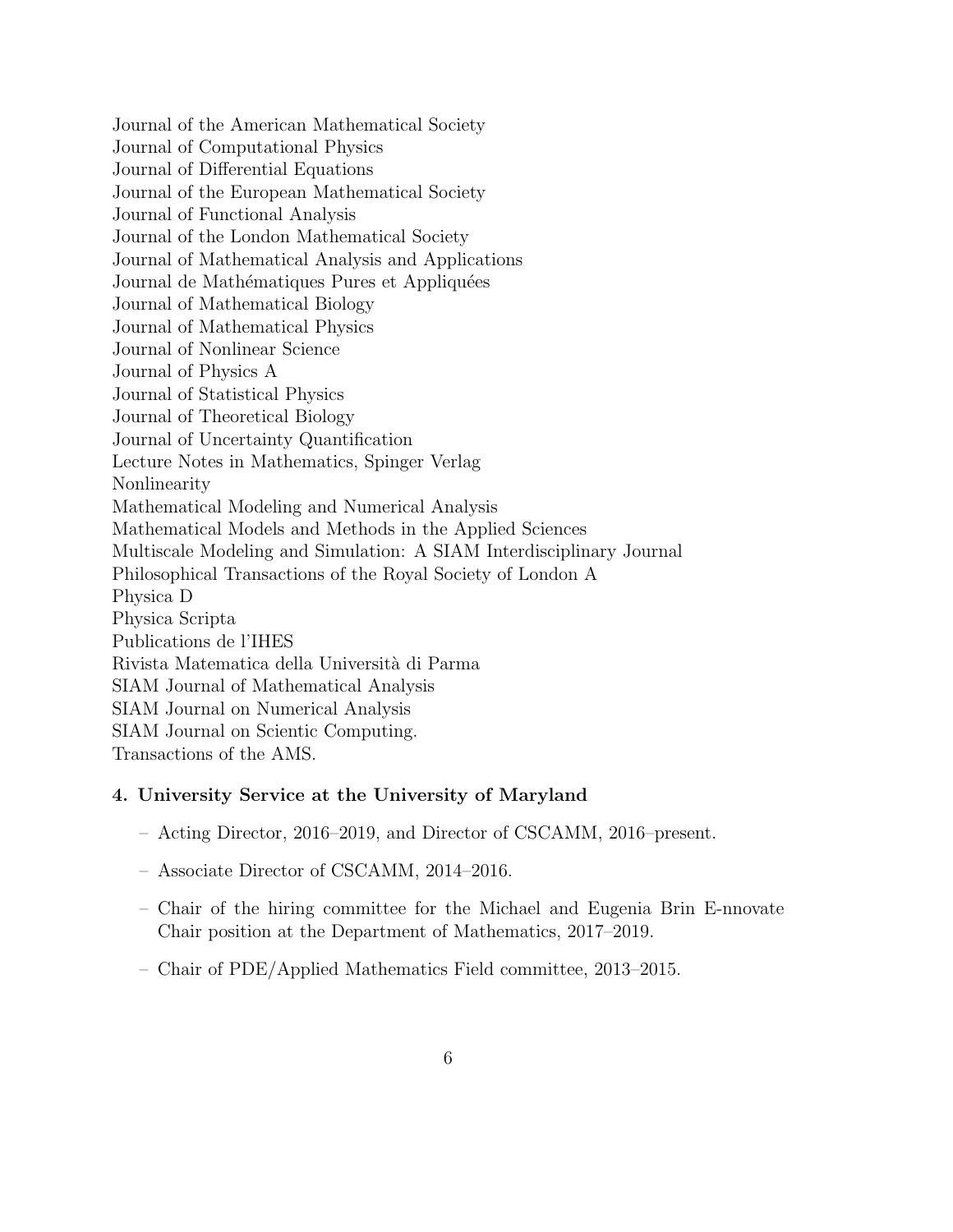Journal of the American Mathematical Society Journal of Computational Physics Journal of Differential Equations Journal of the European Mathematical Society Journal of Functional Analysis Journal of the London Mathematical Society Journal of Mathematical Analysis and Applications Journal de Mathématiques Pures et Appliquées Journal of Mathematical Biology Journal of Mathematical Physics Journal of Nonlinear Science Journal of Physics A Journal of Statistical Physics Journal of Theoretical Biology Journal of Uncertainty Quantification Lecture Notes in Mathematics, Spinger Verlag Nonlinearity Mathematical Modeling and Numerical Analysis Mathematical Models and Methods in the Applied Sciences Multiscale Modeling and Simulation: A SIAM Interdisciplinary Journal Philosophical Transactions of the Royal Society of London A Physica D Physica Scripta Publications de l'IHES Rivista Matematica della Universit`a di Parma SIAM Journal of Mathematical Analysis SIAM Journal on Numerical Analysis SIAM Journal on Scientic Computing. Transactions of the AMS.

### 4. University Service at the University of Maryland

- Acting Director, 2016–2019, and Director of CSCAMM, 2016–present.
- Associate Director of CSCAMM, 2014–2016.
- Chair of the hiring committee for the Michael and Eugenia Brin E-nnovate Chair position at the Department of Mathematics, 2017–2019.
- Chair of PDE/Applied Mathematics Field committee, 2013–2015.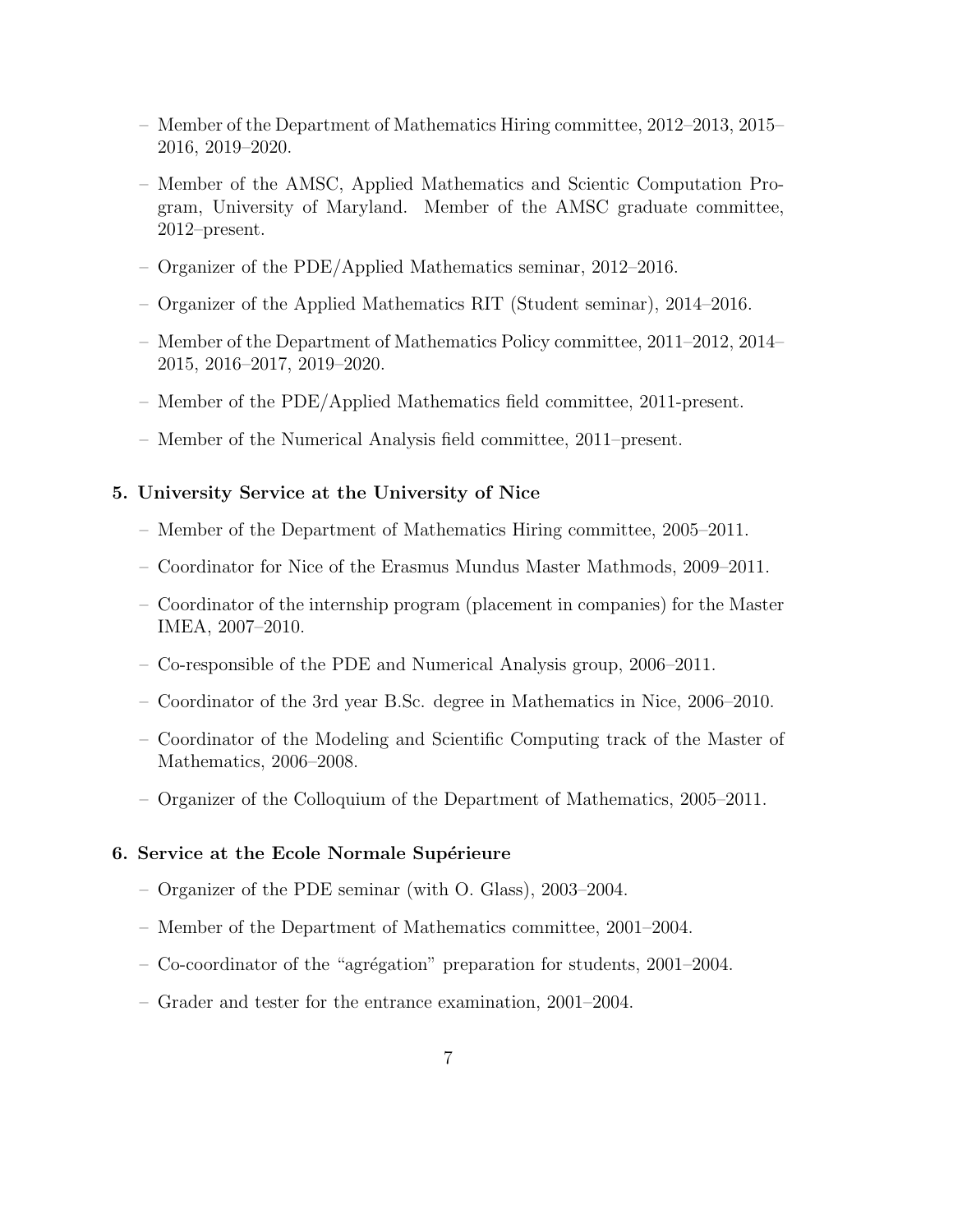- Member of the Department of Mathematics Hiring committee, 2012–2013, 2015– 2016, 2019–2020.
- Member of the AMSC, Applied Mathematics and Scientic Computation Program, University of Maryland. Member of the AMSC graduate committee, 2012–present.
- Organizer of the PDE/Applied Mathematics seminar, 2012–2016.
- Organizer of the Applied Mathematics RIT (Student seminar), 2014–2016.
- Member of the Department of Mathematics Policy committee, 2011–2012, 2014– 2015, 2016–2017, 2019–2020.
- Member of the PDE/Applied Mathematics field committee, 2011-present.
- Member of the Numerical Analysis field committee, 2011–present.

#### 5. University Service at the University of Nice

- Member of the Department of Mathematics Hiring committee, 2005–2011.
- Coordinator for Nice of the Erasmus Mundus Master Mathmods, 2009–2011.
- Coordinator of the internship program (placement in companies) for the Master IMEA, 2007–2010.
- Co-responsible of the PDE and Numerical Analysis group, 2006–2011.
- Coordinator of the 3rd year B.Sc. degree in Mathematics in Nice, 2006–2010.
- Coordinator of the Modeling and Scientific Computing track of the Master of Mathematics, 2006–2008.
- Organizer of the Colloquium of the Department of Mathematics, 2005–2011.

#### 6. Service at the Ecole Normale Supérieure

- Organizer of the PDE seminar (with O. Glass), 2003–2004.
- Member of the Department of Mathematics committee, 2001–2004.
- $-$  Co-coordinator of the "agrégation" preparation for students, 2001–2004.
- Grader and tester for the entrance examination, 2001–2004.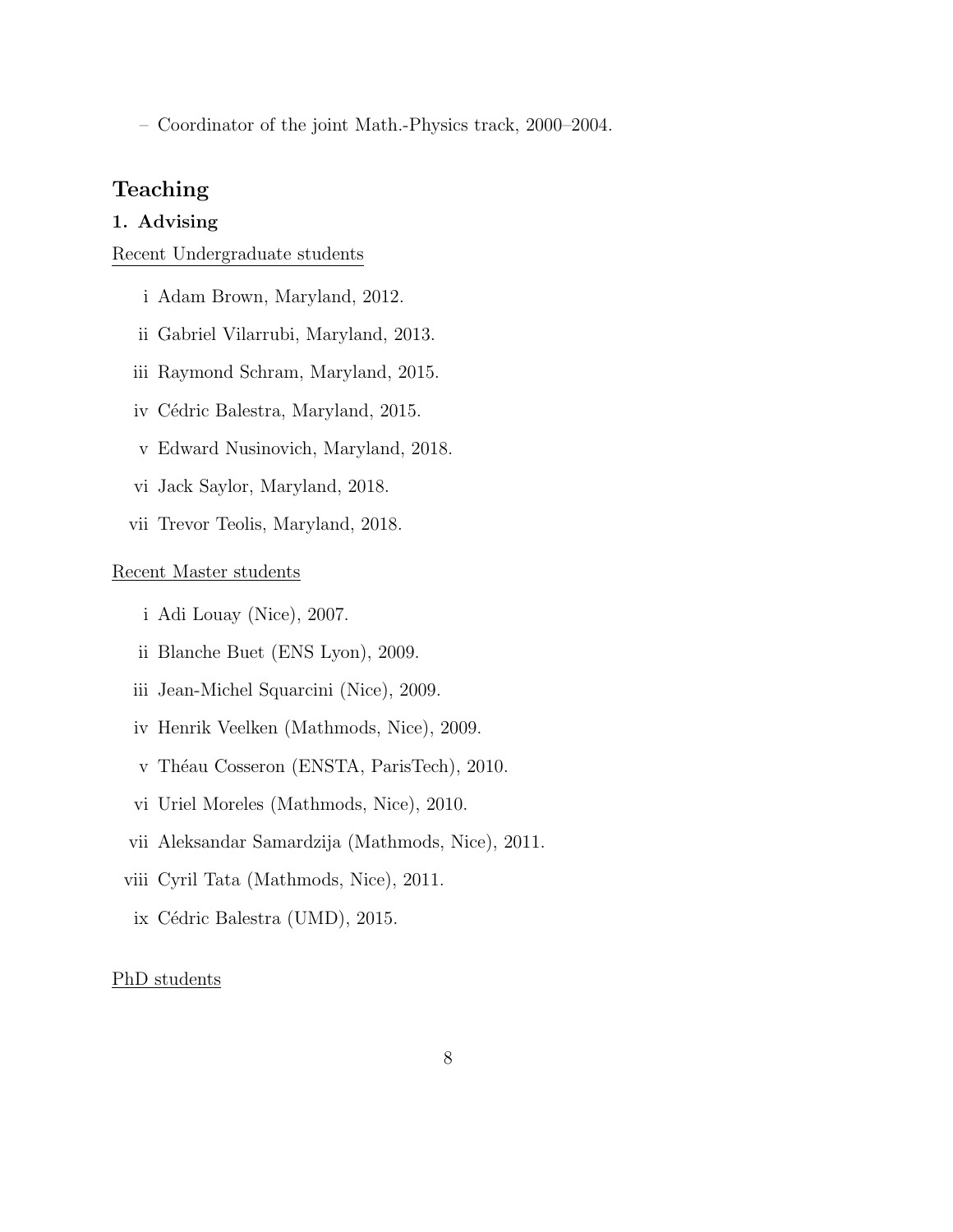– Coordinator of the joint Math.-Physics track, 2000–2004.

## Teaching

### 1. Advising

#### Recent Undergraduate students

- i Adam Brown, Maryland, 2012.
- ii Gabriel Vilarrubi, Maryland, 2013.
- iii Raymond Schram, Maryland, 2015.
- iv Cédric Balestra, Maryland, 2015.
- v Edward Nusinovich, Maryland, 2018.
- vi Jack Saylor, Maryland, 2018.
- vii Trevor Teolis, Maryland, 2018.

### Recent Master students

- i Adi Louay (Nice), 2007.
- ii Blanche Buet (ENS Lyon), 2009.
- iii Jean-Michel Squarcini (Nice), 2009.
- iv Henrik Veelken (Mathmods, Nice), 2009.
- v Théau Cosseron (ENSTA, ParisTech), 2010.
- vi Uriel Moreles (Mathmods, Nice), 2010.
- vii Aleksandar Samardzija (Mathmods, Nice), 2011.
- viii Cyril Tata (Mathmods, Nice), 2011.
- ix Cédric Balestra (UMD), 2015.

#### PhD students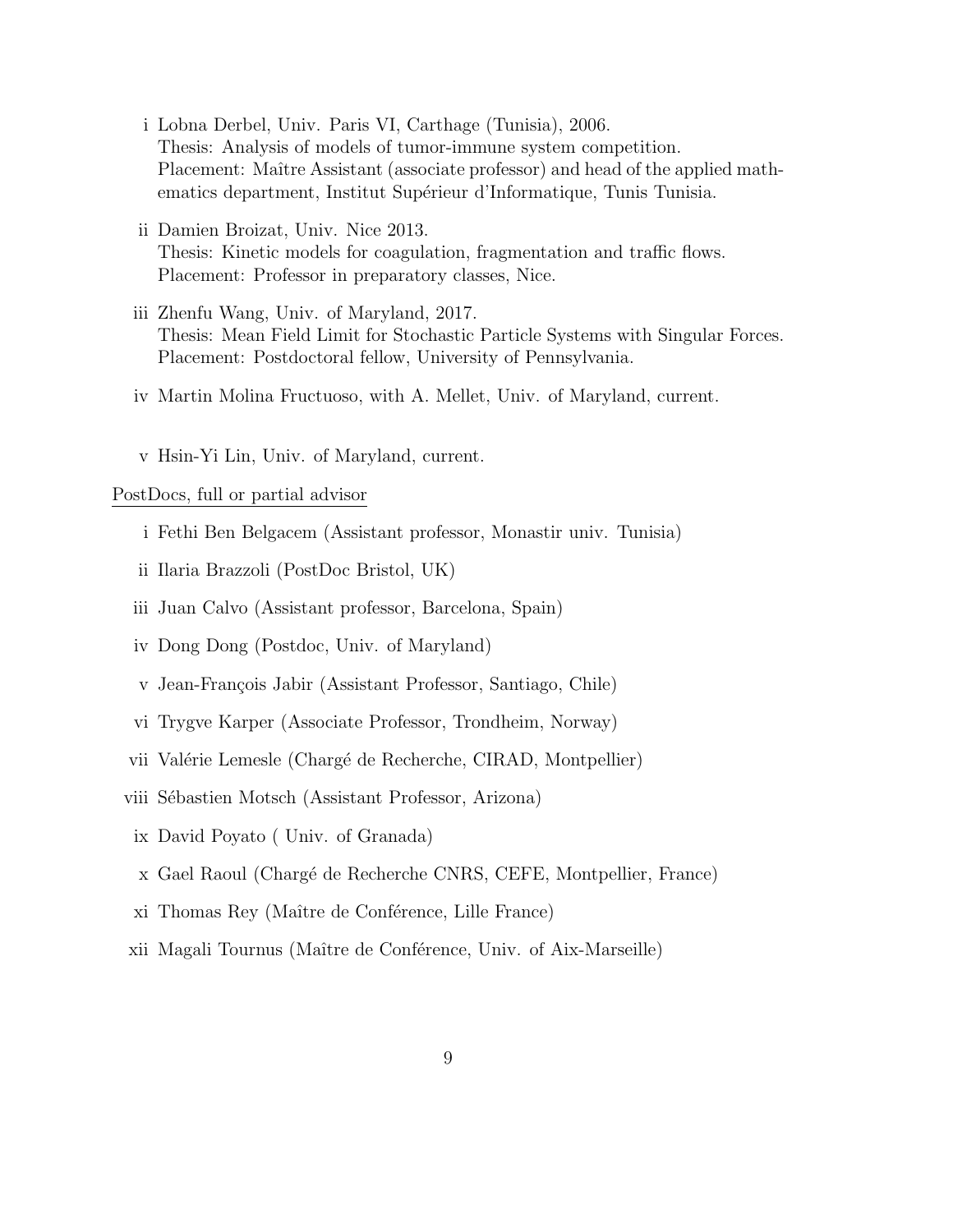- i Lobna Derbel, Univ. Paris VI, Carthage (Tunisia), 2006. Thesis: Analysis of models of tumor-immune system competition. Placement: Maître Assistant (associate professor) and head of the applied mathematics department, Institut Supérieur d'Informatique, Tunis Tunisia.
- ii Damien Broizat, Univ. Nice 2013. Thesis: Kinetic models for coagulation, fragmentation and traffic flows. Placement: Professor in preparatory classes, Nice.
- iii Zhenfu Wang, Univ. of Maryland, 2017. Thesis: Mean Field Limit for Stochastic Particle Systems with Singular Forces. Placement: Postdoctoral fellow, University of Pennsylvania.
- iv Martin Molina Fructuoso, with A. Mellet, Univ. of Maryland, current.
- v Hsin-Yi Lin, Univ. of Maryland, current.

PostDocs, full or partial advisor

- i Fethi Ben Belgacem (Assistant professor, Monastir univ. Tunisia)
- ii Ilaria Brazzoli (PostDoc Bristol, UK)
- iii Juan Calvo (Assistant professor, Barcelona, Spain)
- iv Dong Dong (Postdoc, Univ. of Maryland)
- v Jean-François Jabir (Assistant Professor, Santiago, Chile)
- vi Trygve Karper (Associate Professor, Trondheim, Norway)
- vii Valérie Lemesle (Chargé de Recherche, CIRAD, Montpellier)
- viii Sébastien Motsch (Assistant Professor, Arizona)
- ix David Poyato ( Univ. of Granada)
- x Gael Raoul (Charg´e de Recherche CNRS, CEFE, Montpellier, France)
- xi Thomas Rey (Maître de Conférence, Lille France)
- xii Magali Tournus (Maître de Conférence, Univ. of Aix-Marseille)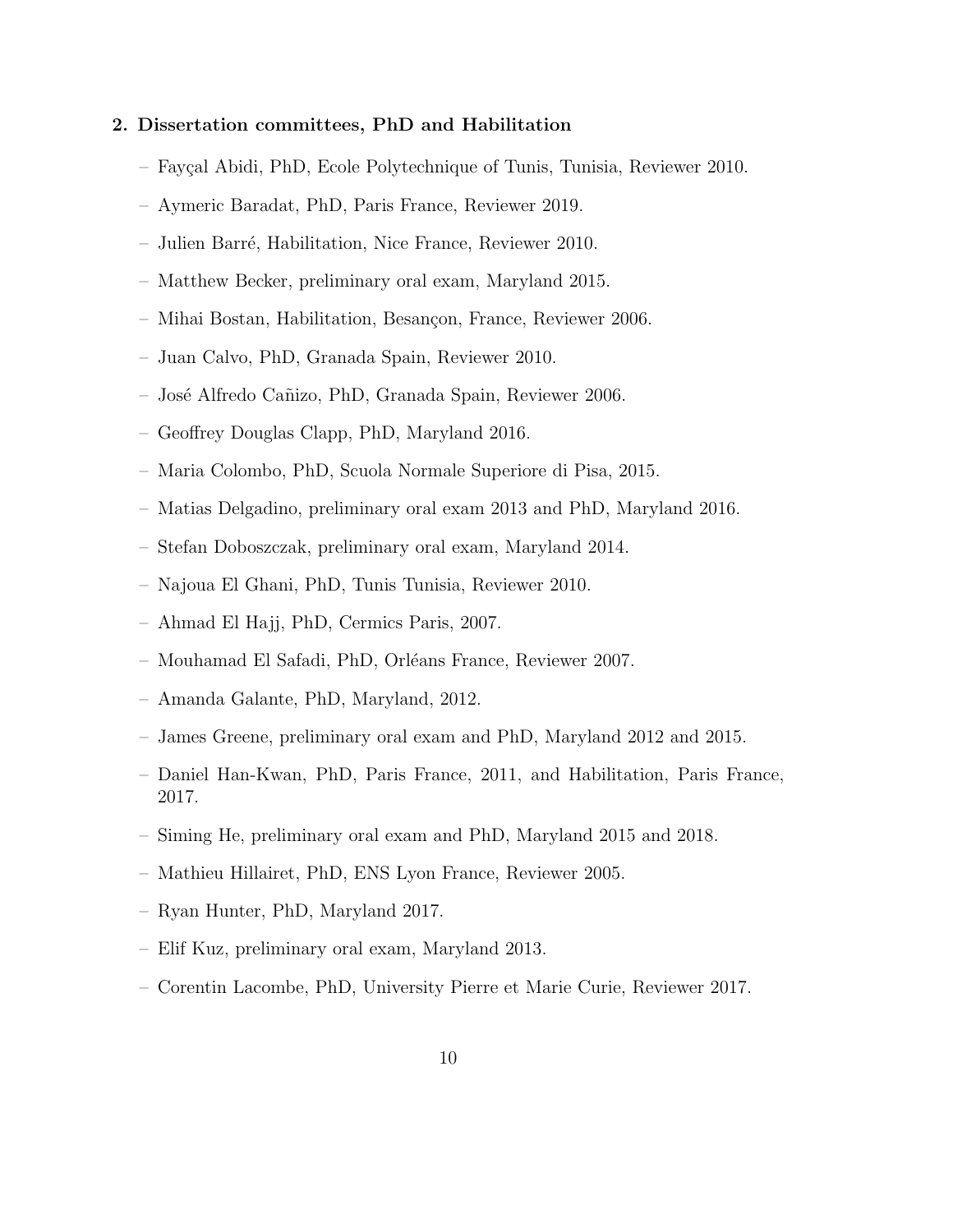#### 2. Dissertation committees, PhD and Habilitation

- Fay¸cal Abidi, PhD, Ecole Polytechnique of Tunis, Tunisia, Reviewer 2010.
- Aymeric Baradat, PhD, Paris France, Reviewer 2019.
- Julien Barr´e, Habilitation, Nice France, Reviewer 2010.
- Matthew Becker, preliminary oral exam, Maryland 2015.
- Mihai Bostan, Habilitation, Besançon, France, Reviewer 2006.
- Juan Calvo, PhD, Granada Spain, Reviewer 2010.
- Jos´e Alfredo Ca˜nizo, PhD, Granada Spain, Reviewer 2006.
- Geoffrey Douglas Clapp, PhD, Maryland 2016.
- Maria Colombo, PhD, Scuola Normale Superiore di Pisa, 2015.
- Matias Delgadino, preliminary oral exam 2013 and PhD, Maryland 2016.
- Stefan Doboszczak, preliminary oral exam, Maryland 2014.
- Najoua El Ghani, PhD, Tunis Tunisia, Reviewer 2010.
- Ahmad El Hajj, PhD, Cermics Paris, 2007.
- Mouhamad El Safadi, PhD, Orl´eans France, Reviewer 2007.
- Amanda Galante, PhD, Maryland, 2012.
- James Greene, preliminary oral exam and PhD, Maryland 2012 and 2015.
- Daniel Han-Kwan, PhD, Paris France, 2011, and Habilitation, Paris France, 2017.
- Siming He, preliminary oral exam and PhD, Maryland 2015 and 2018.
- Mathieu Hillairet, PhD, ENS Lyon France, Reviewer 2005.
- Ryan Hunter, PhD, Maryland 2017.
- Elif Kuz, preliminary oral exam, Maryland 2013.
- Corentin Lacombe, PhD, University Pierre et Marie Curie, Reviewer 2017.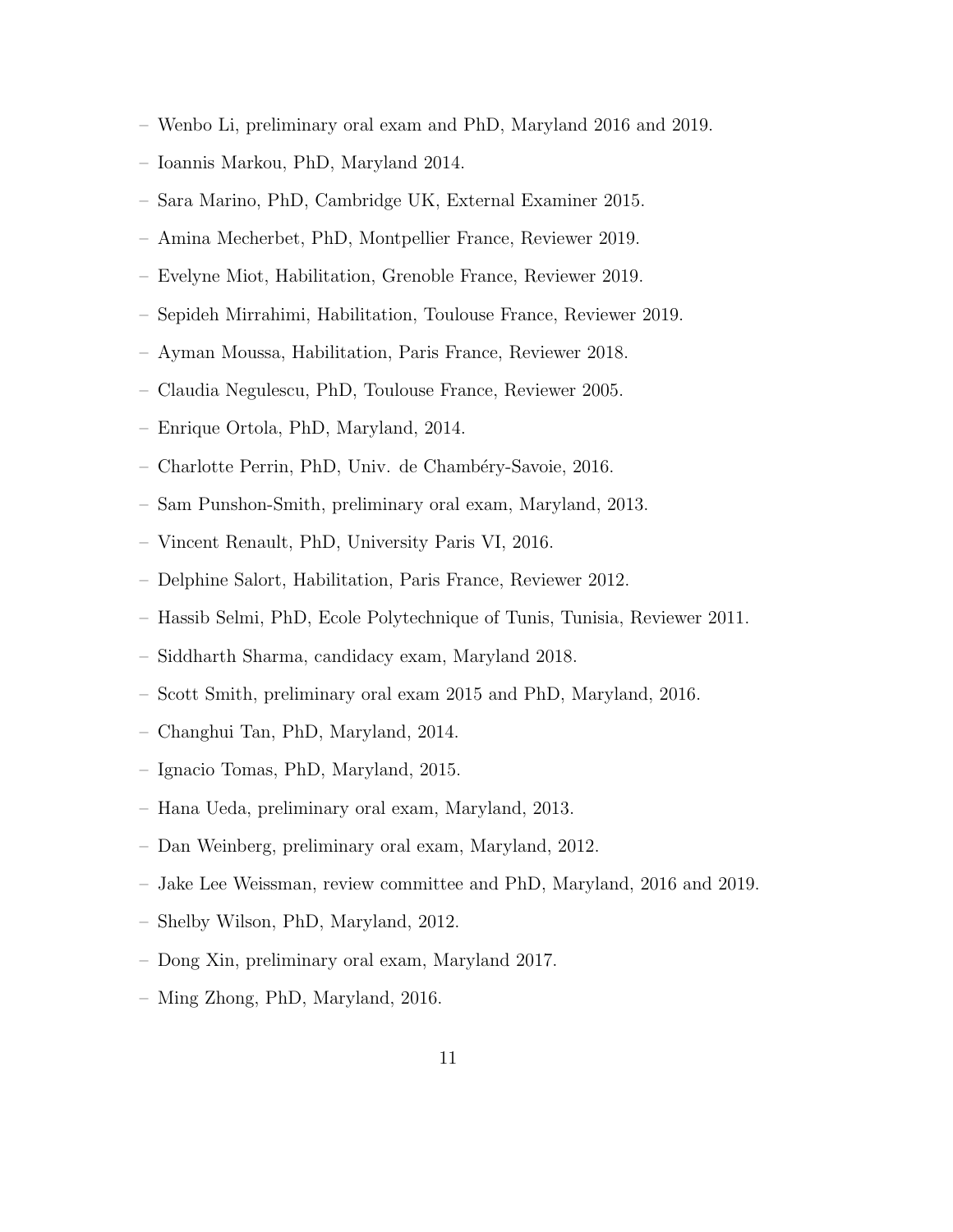- Wenbo Li, preliminary oral exam and PhD, Maryland 2016 and 2019.
- Ioannis Markou, PhD, Maryland 2014.
- Sara Marino, PhD, Cambridge UK, External Examiner 2015.
- Amina Mecherbet, PhD, Montpellier France, Reviewer 2019.
- Evelyne Miot, Habilitation, Grenoble France, Reviewer 2019.
- Sepideh Mirrahimi, Habilitation, Toulouse France, Reviewer 2019.
- Ayman Moussa, Habilitation, Paris France, Reviewer 2018.
- Claudia Negulescu, PhD, Toulouse France, Reviewer 2005.
- Enrique Ortola, PhD, Maryland, 2014.
- Charlotte Perrin, PhD, Univ. de Chamb´ery-Savoie, 2016.
- Sam Punshon-Smith, preliminary oral exam, Maryland, 2013.
- Vincent Renault, PhD, University Paris VI, 2016.
- Delphine Salort, Habilitation, Paris France, Reviewer 2012.
- Hassib Selmi, PhD, Ecole Polytechnique of Tunis, Tunisia, Reviewer 2011.
- Siddharth Sharma, candidacy exam, Maryland 2018.
- Scott Smith, preliminary oral exam 2015 and PhD, Maryland, 2016.
- Changhui Tan, PhD, Maryland, 2014.
- Ignacio Tomas, PhD, Maryland, 2015.
- Hana Ueda, preliminary oral exam, Maryland, 2013.
- Dan Weinberg, preliminary oral exam, Maryland, 2012.
- Jake Lee Weissman, review committee and PhD, Maryland, 2016 and 2019.
- Shelby Wilson, PhD, Maryland, 2012.
- Dong Xin, preliminary oral exam, Maryland 2017.
- Ming Zhong, PhD, Maryland, 2016.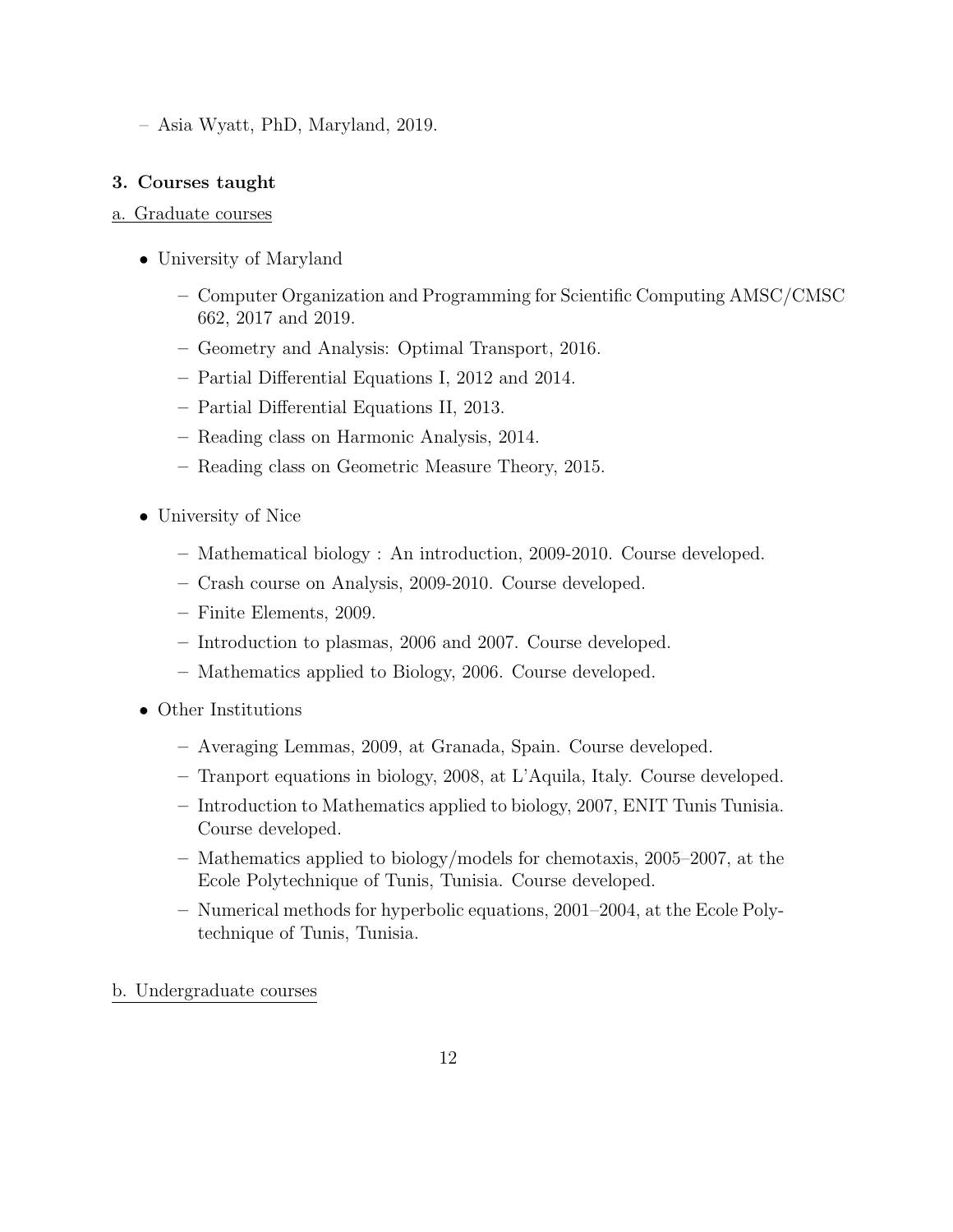– Asia Wyatt, PhD, Maryland, 2019.

### 3. Courses taught

### a. Graduate courses

- University of Maryland
	- Computer Organization and Programming for Scientific Computing AMSC/CMSC 662, 2017 and 2019.
	- Geometry and Analysis: Optimal Transport, 2016.
	- Partial Differential Equations I, 2012 and 2014.
	- Partial Differential Equations II, 2013.
	- Reading class on Harmonic Analysis, 2014.
	- Reading class on Geometric Measure Theory, 2015.
- University of Nice
	- Mathematical biology : An introduction, 2009-2010. Course developed.
	- Crash course on Analysis, 2009-2010. Course developed.
	- Finite Elements, 2009.
	- Introduction to plasmas, 2006 and 2007. Course developed.
	- Mathematics applied to Biology, 2006. Course developed.
- Other Institutions
	- Averaging Lemmas, 2009, at Granada, Spain. Course developed.
	- Tranport equations in biology, 2008, at L'Aquila, Italy. Course developed.
	- Introduction to Mathematics applied to biology, 2007, ENIT Tunis Tunisia. Course developed.
	- Mathematics applied to biology/models for chemotaxis, 2005–2007, at the Ecole Polytechnique of Tunis, Tunisia. Course developed.
	- Numerical methods for hyperbolic equations, 2001–2004, at the Ecole Polytechnique of Tunis, Tunisia.
- b. Undergraduate courses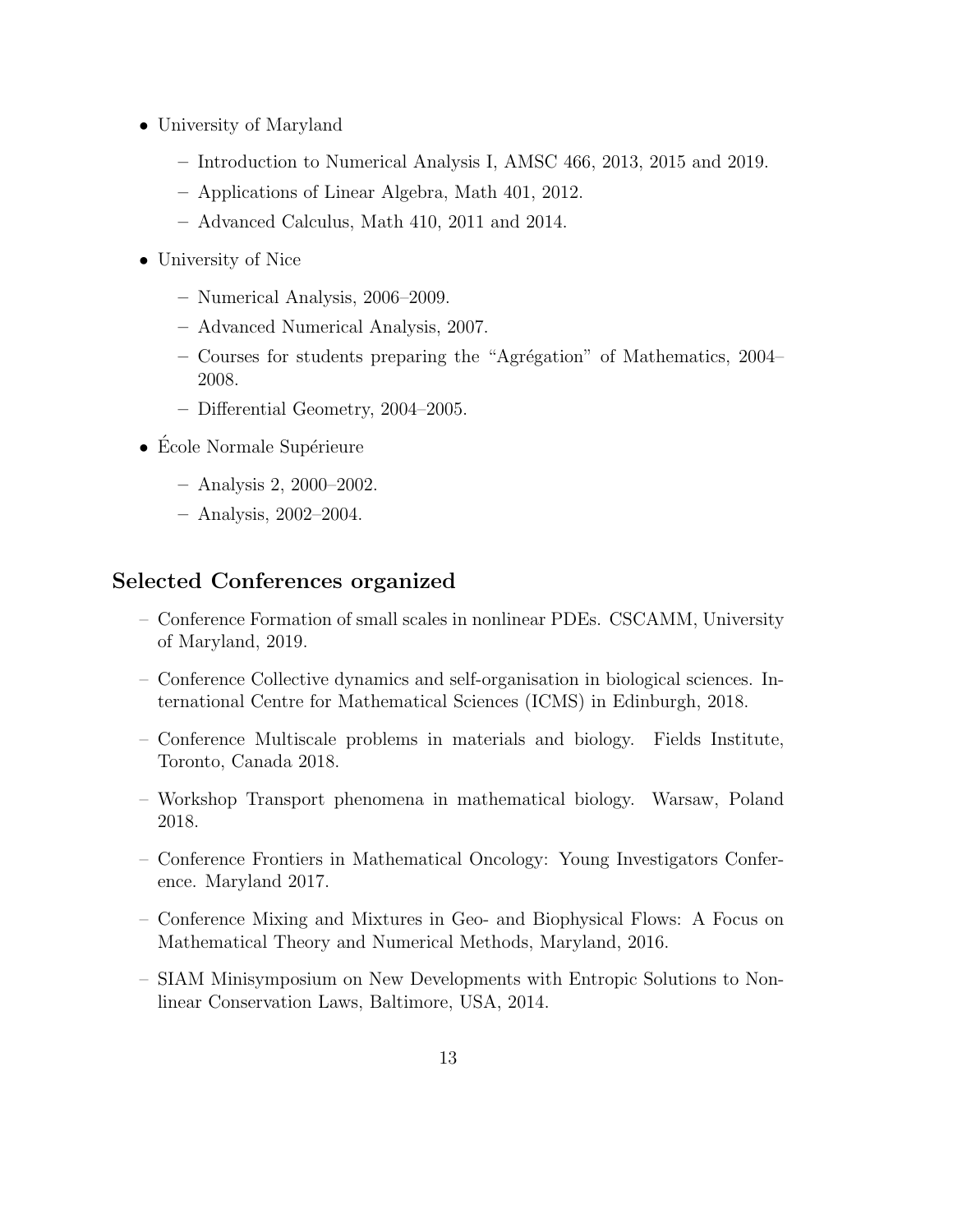- University of Maryland
	- Introduction to Numerical Analysis I, AMSC 466, 2013, 2015 and 2019.
	- Applications of Linear Algebra, Math 401, 2012.
	- Advanced Calculus, Math 410, 2011 and 2014.
- University of Nice
	- Numerical Analysis, 2006–2009.
	- Advanced Numerical Analysis, 2007.
	- $-$  Courses for students preparing the "Agrégation" of Mathematics, 2004– 2008.
	- Differential Geometry, 2004–2005.
- $\bullet$  École Normale Supérieure
	- Analysis 2, 2000–2002.
	- Analysis, 2002–2004.

# Selected Conferences organized

- Conference Formation of small scales in nonlinear PDEs. CSCAMM, University of Maryland, 2019.
- Conference Collective dynamics and self-organisation in biological sciences. International Centre for Mathematical Sciences (ICMS) in Edinburgh, 2018.
- Conference Multiscale problems in materials and biology. Fields Institute, Toronto, Canada 2018.
- Workshop Transport phenomena in mathematical biology. Warsaw, Poland 2018.
- Conference Frontiers in Mathematical Oncology: Young Investigators Conference. Maryland 2017.
- Conference Mixing and Mixtures in Geo- and Biophysical Flows: A Focus on Mathematical Theory and Numerical Methods, Maryland, 2016.
- SIAM Minisymposium on New Developments with Entropic Solutions to Nonlinear Conservation Laws, Baltimore, USA, 2014.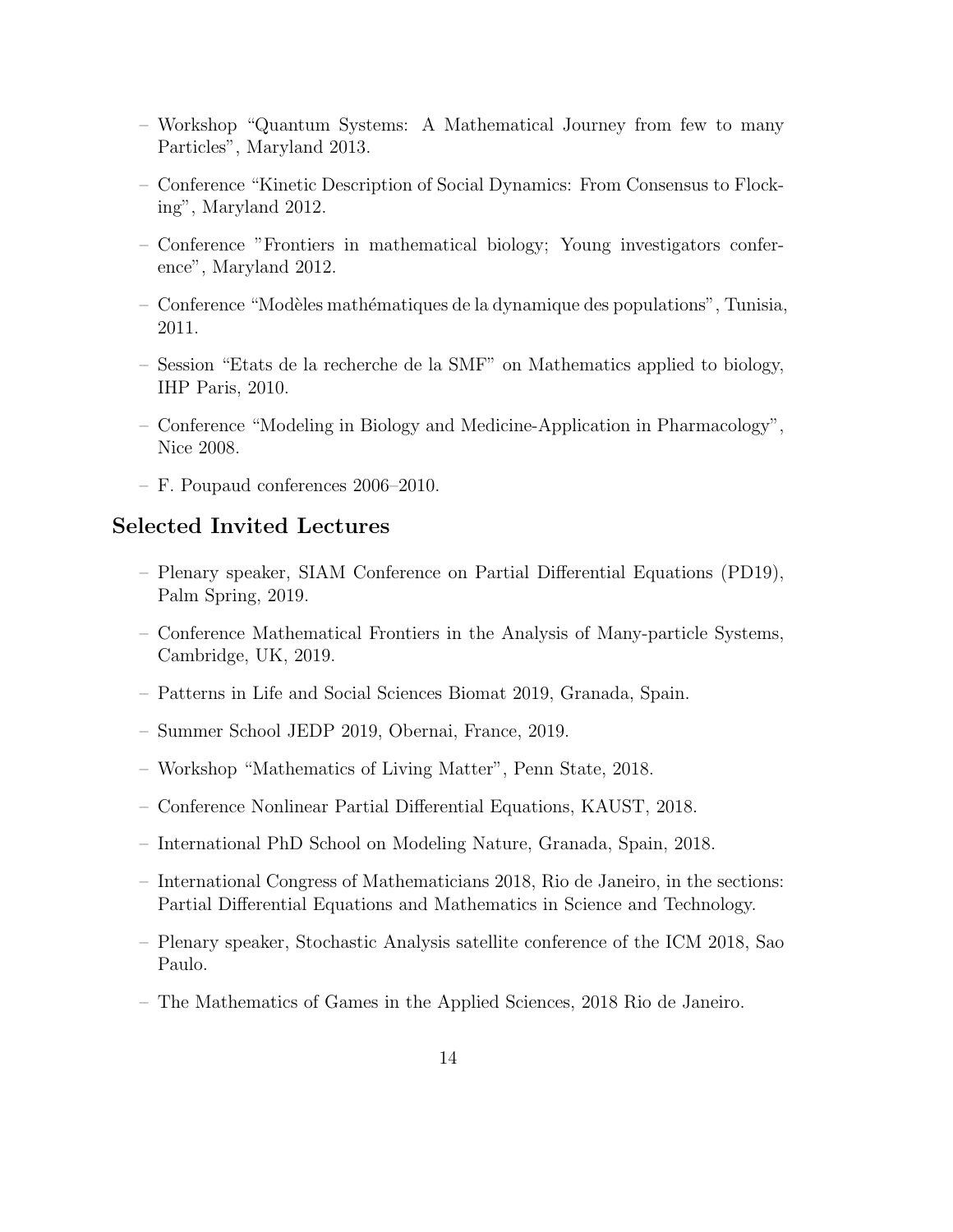- Workshop "Quantum Systems: A Mathematical Journey from few to many Particles", Maryland 2013.
- Conference "Kinetic Description of Social Dynamics: From Consensus to Flocking", Maryland 2012.
- Conference "Frontiers in mathematical biology; Young investigators conference", Maryland 2012.
- Conference "Mod`eles math´ematiques de la dynamique des populations", Tunisia, 2011.
- Session "Etats de la recherche de la SMF" on Mathematics applied to biology, IHP Paris, 2010.
- Conference "Modeling in Biology and Medicine-Application in Pharmacology", Nice 2008.
- F. Poupaud conferences 2006–2010.

### Selected Invited Lectures

- Plenary speaker, SIAM Conference on Partial Differential Equations (PD19), Palm Spring, 2019.
- Conference Mathematical Frontiers in the Analysis of Many-particle Systems, Cambridge, UK, 2019.
- Patterns in Life and Social Sciences Biomat 2019, Granada, Spain.
- Summer School JEDP 2019, Obernai, France, 2019.
- Workshop "Mathematics of Living Matter", Penn State, 2018.
- Conference Nonlinear Partial Differential Equations, KAUST, 2018.
- International PhD School on Modeling Nature, Granada, Spain, 2018.
- International Congress of Mathematicians 2018, Rio de Janeiro, in the sections: Partial Differential Equations and Mathematics in Science and Technology.
- Plenary speaker, Stochastic Analysis satellite conference of the ICM 2018, Sao Paulo.
- The Mathematics of Games in the Applied Sciences, 2018 Rio de Janeiro.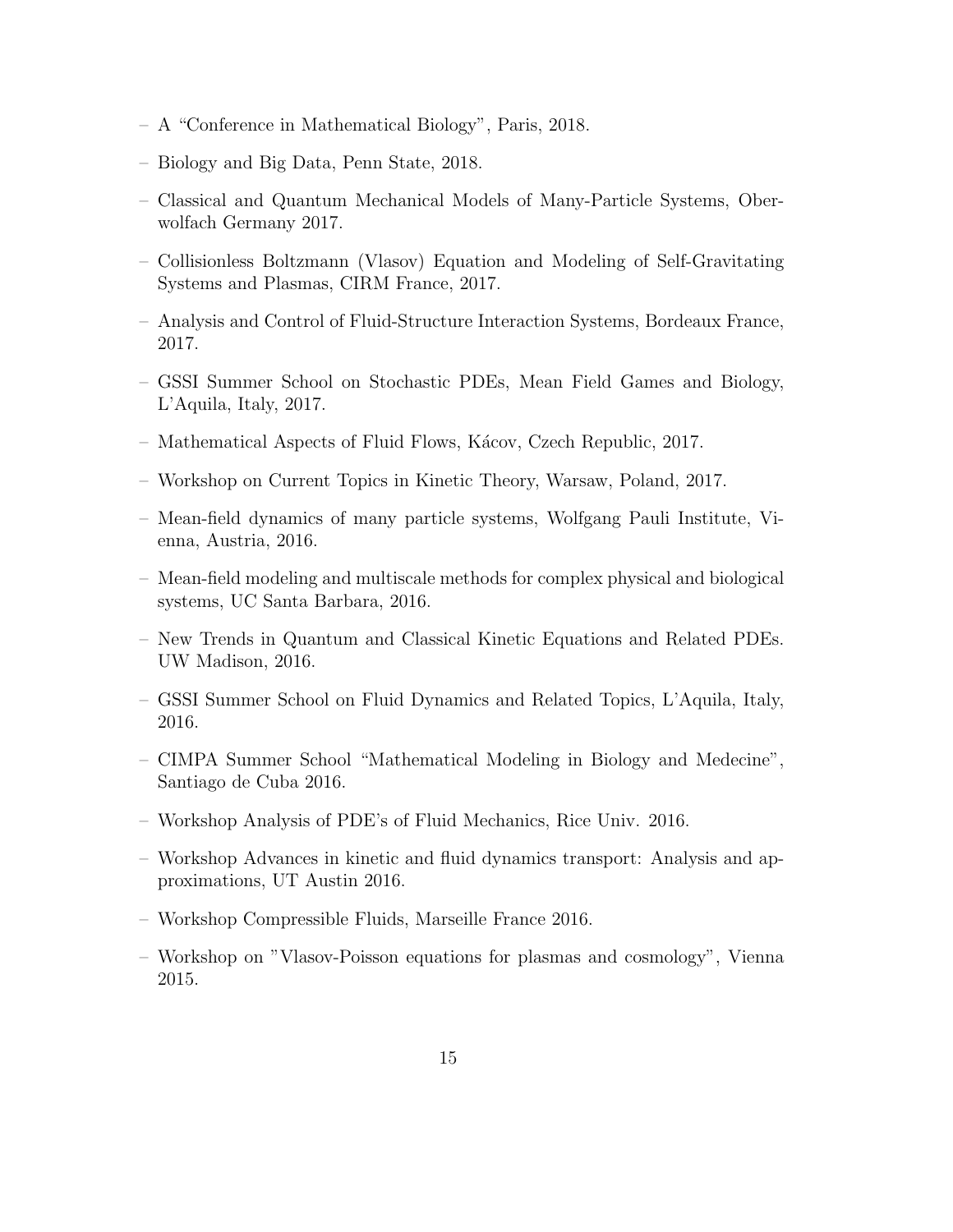- A "Conference in Mathematical Biology", Paris, 2018.
- Biology and Big Data, Penn State, 2018.
- Classical and Quantum Mechanical Models of Many-Particle Systems, Oberwolfach Germany 2017.
- Collisionless Boltzmann (Vlasov) Equation and Modeling of Self-Gravitating Systems and Plasmas, CIRM France, 2017.
- Analysis and Control of Fluid-Structure Interaction Systems, Bordeaux France, 2017.
- GSSI Summer School on Stochastic PDEs, Mean Field Games and Biology, L'Aquila, Italy, 2017.
- Mathematical Aspects of Fluid Flows, K´acov, Czech Republic, 2017.
- Workshop on Current Topics in Kinetic Theory, Warsaw, Poland, 2017.
- Mean-field dynamics of many particle systems, Wolfgang Pauli Institute, Vienna, Austria, 2016.
- Mean-field modeling and multiscale methods for complex physical and biological systems, UC Santa Barbara, 2016.
- New Trends in Quantum and Classical Kinetic Equations and Related PDEs. UW Madison, 2016.
- GSSI Summer School on Fluid Dynamics and Related Topics, L'Aquila, Italy, 2016.
- CIMPA Summer School "Mathematical Modeling in Biology and Medecine", Santiago de Cuba 2016.
- Workshop Analysis of PDE's of Fluid Mechanics, Rice Univ. 2016.
- Workshop Advances in kinetic and fluid dynamics transport: Analysis and approximations, UT Austin 2016.
- Workshop Compressible Fluids, Marseille France 2016.
- Workshop on "Vlasov-Poisson equations for plasmas and cosmology", Vienna 2015.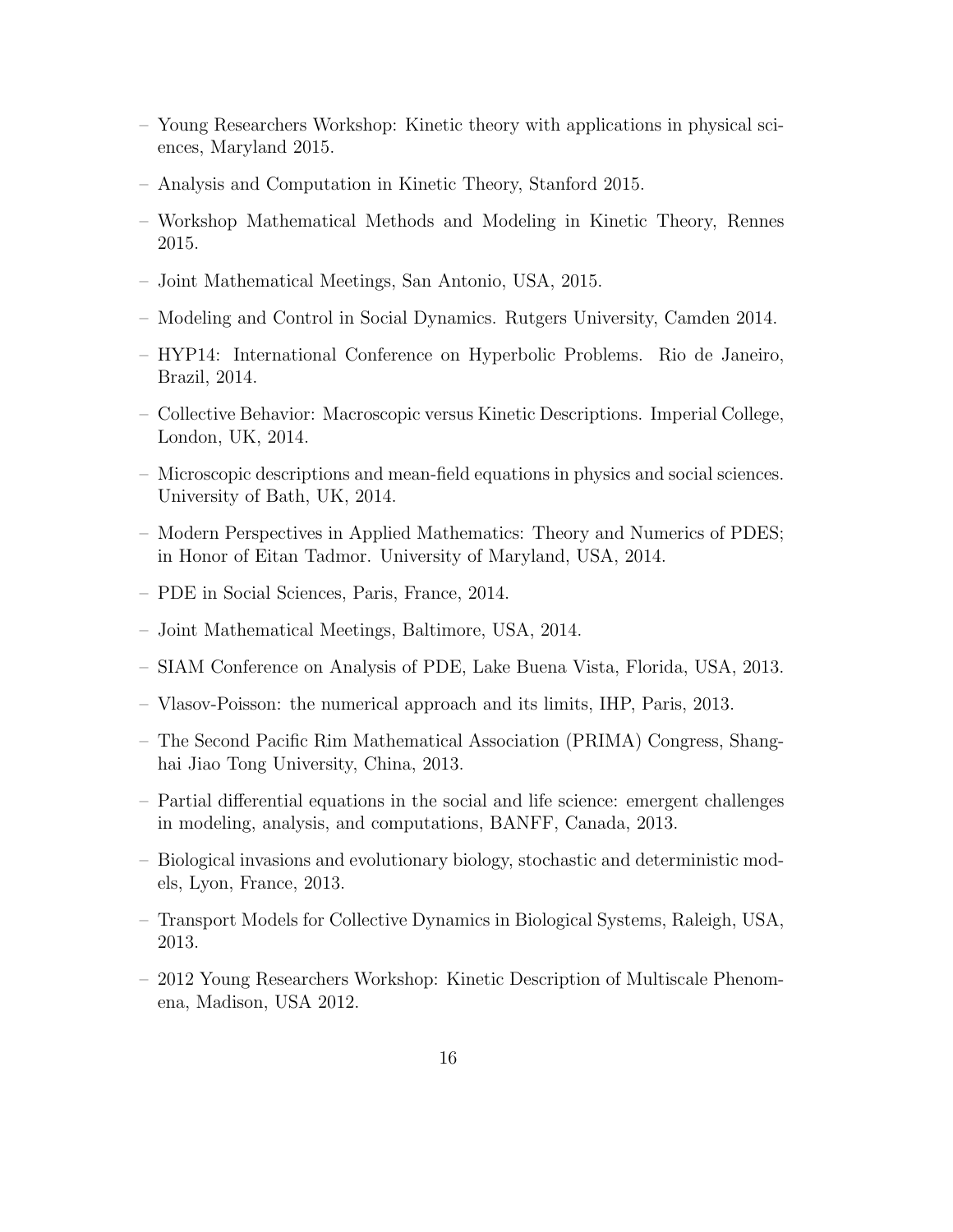- Young Researchers Workshop: Kinetic theory with applications in physical sciences, Maryland 2015.
- Analysis and Computation in Kinetic Theory, Stanford 2015.
- Workshop Mathematical Methods and Modeling in Kinetic Theory, Rennes 2015.
- Joint Mathematical Meetings, San Antonio, USA, 2015.
- Modeling and Control in Social Dynamics. Rutgers University, Camden 2014.
- HYP14: International Conference on Hyperbolic Problems. Rio de Janeiro, Brazil, 2014.
- Collective Behavior: Macroscopic versus Kinetic Descriptions. Imperial College, London, UK, 2014.
- Microscopic descriptions and mean-field equations in physics and social sciences. University of Bath, UK, 2014.
- Modern Perspectives in Applied Mathematics: Theory and Numerics of PDES; in Honor of Eitan Tadmor. University of Maryland, USA, 2014.
- PDE in Social Sciences, Paris, France, 2014.
- Joint Mathematical Meetings, Baltimore, USA, 2014.
- SIAM Conference on Analysis of PDE, Lake Buena Vista, Florida, USA, 2013.
- Vlasov-Poisson: the numerical approach and its limits, IHP, Paris, 2013.
- The Second Pacific Rim Mathematical Association (PRIMA) Congress, Shanghai Jiao Tong University, China, 2013.
- Partial differential equations in the social and life science: emergent challenges in modeling, analysis, and computations, BANFF, Canada, 2013.
- Biological invasions and evolutionary biology, stochastic and deterministic models, Lyon, France, 2013.
- Transport Models for Collective Dynamics in Biological Systems, Raleigh, USA, 2013.
- 2012 Young Researchers Workshop: Kinetic Description of Multiscale Phenomena, Madison, USA 2012.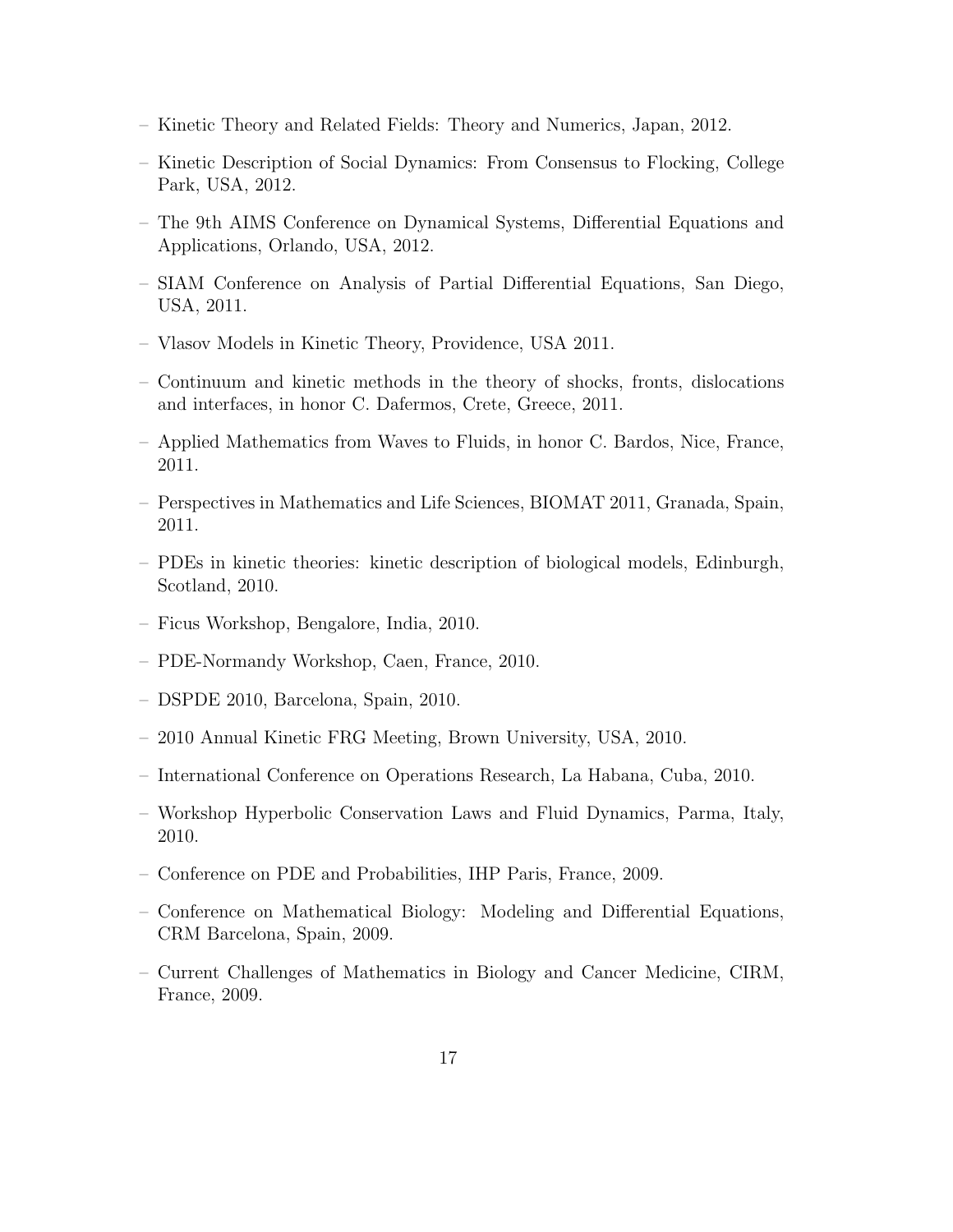- Kinetic Theory and Related Fields: Theory and Numerics, Japan, 2012.
- Kinetic Description of Social Dynamics: From Consensus to Flocking, College Park, USA, 2012.
- The 9th AIMS Conference on Dynamical Systems, Differential Equations and Applications, Orlando, USA, 2012.
- SIAM Conference on Analysis of Partial Differential Equations, San Diego, USA, 2011.
- Vlasov Models in Kinetic Theory, Providence, USA 2011.
- Continuum and kinetic methods in the theory of shocks, fronts, dislocations and interfaces, in honor C. Dafermos, Crete, Greece, 2011.
- Applied Mathematics from Waves to Fluids, in honor C. Bardos, Nice, France, 2011.
- Perspectives in Mathematics and Life Sciences, BIOMAT 2011, Granada, Spain, 2011.
- PDEs in kinetic theories: kinetic description of biological models, Edinburgh, Scotland, 2010.
- Ficus Workshop, Bengalore, India, 2010.
- PDE-Normandy Workshop, Caen, France, 2010.
- DSPDE 2010, Barcelona, Spain, 2010.
- 2010 Annual Kinetic FRG Meeting, Brown University, USA, 2010.
- International Conference on Operations Research, La Habana, Cuba, 2010.
- Workshop Hyperbolic Conservation Laws and Fluid Dynamics, Parma, Italy, 2010.
- Conference on PDE and Probabilities, IHP Paris, France, 2009.
- Conference on Mathematical Biology: Modeling and Differential Equations, CRM Barcelona, Spain, 2009.
- Current Challenges of Mathematics in Biology and Cancer Medicine, CIRM, France, 2009.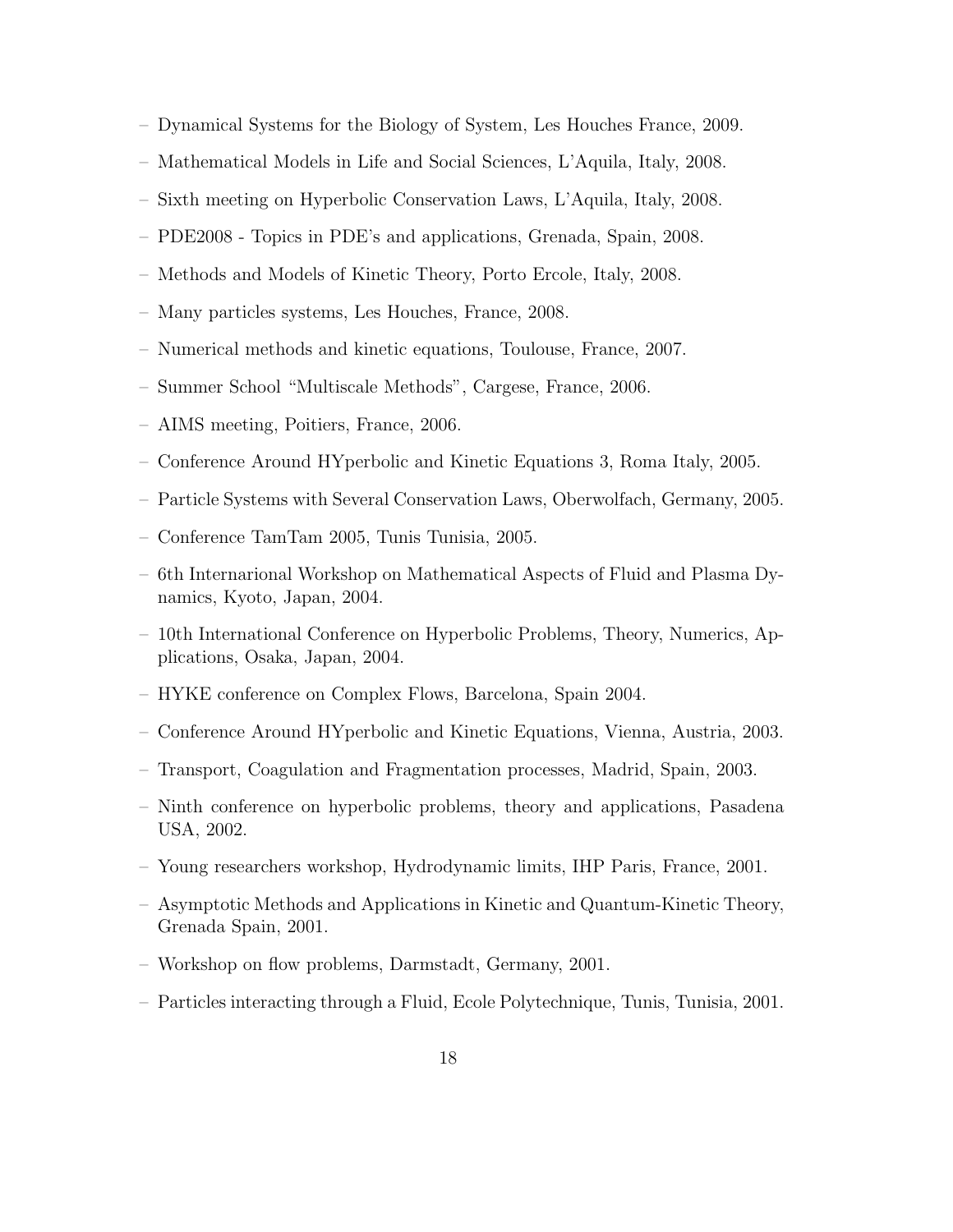- Dynamical Systems for the Biology of System, Les Houches France, 2009.
- Mathematical Models in Life and Social Sciences, L'Aquila, Italy, 2008.
- Sixth meeting on Hyperbolic Conservation Laws, L'Aquila, Italy, 2008.
- PDE2008 Topics in PDE's and applications, Grenada, Spain, 2008.
- Methods and Models of Kinetic Theory, Porto Ercole, Italy, 2008.
- Many particles systems, Les Houches, France, 2008.
- Numerical methods and kinetic equations, Toulouse, France, 2007.
- Summer School "Multiscale Methods", Cargese, France, 2006.
- AIMS meeting, Poitiers, France, 2006.
- Conference Around HYperbolic and Kinetic Equations 3, Roma Italy, 2005.
- Particle Systems with Several Conservation Laws, Oberwolfach, Germany, 2005.
- Conference TamTam 2005, Tunis Tunisia, 2005.
- 6th Internarional Workshop on Mathematical Aspects of Fluid and Plasma Dynamics, Kyoto, Japan, 2004.
- 10th International Conference on Hyperbolic Problems, Theory, Numerics, Applications, Osaka, Japan, 2004.
- HYKE conference on Complex Flows, Barcelona, Spain 2004.
- Conference Around HYperbolic and Kinetic Equations, Vienna, Austria, 2003.
- Transport, Coagulation and Fragmentation processes, Madrid, Spain, 2003.
- Ninth conference on hyperbolic problems, theory and applications, Pasadena USA, 2002.
- Young researchers workshop, Hydrodynamic limits, IHP Paris, France, 2001.
- Asymptotic Methods and Applications in Kinetic and Quantum-Kinetic Theory, Grenada Spain, 2001.
- Workshop on flow problems, Darmstadt, Germany, 2001.
- Particles interacting through a Fluid, Ecole Polytechnique, Tunis, Tunisia, 2001.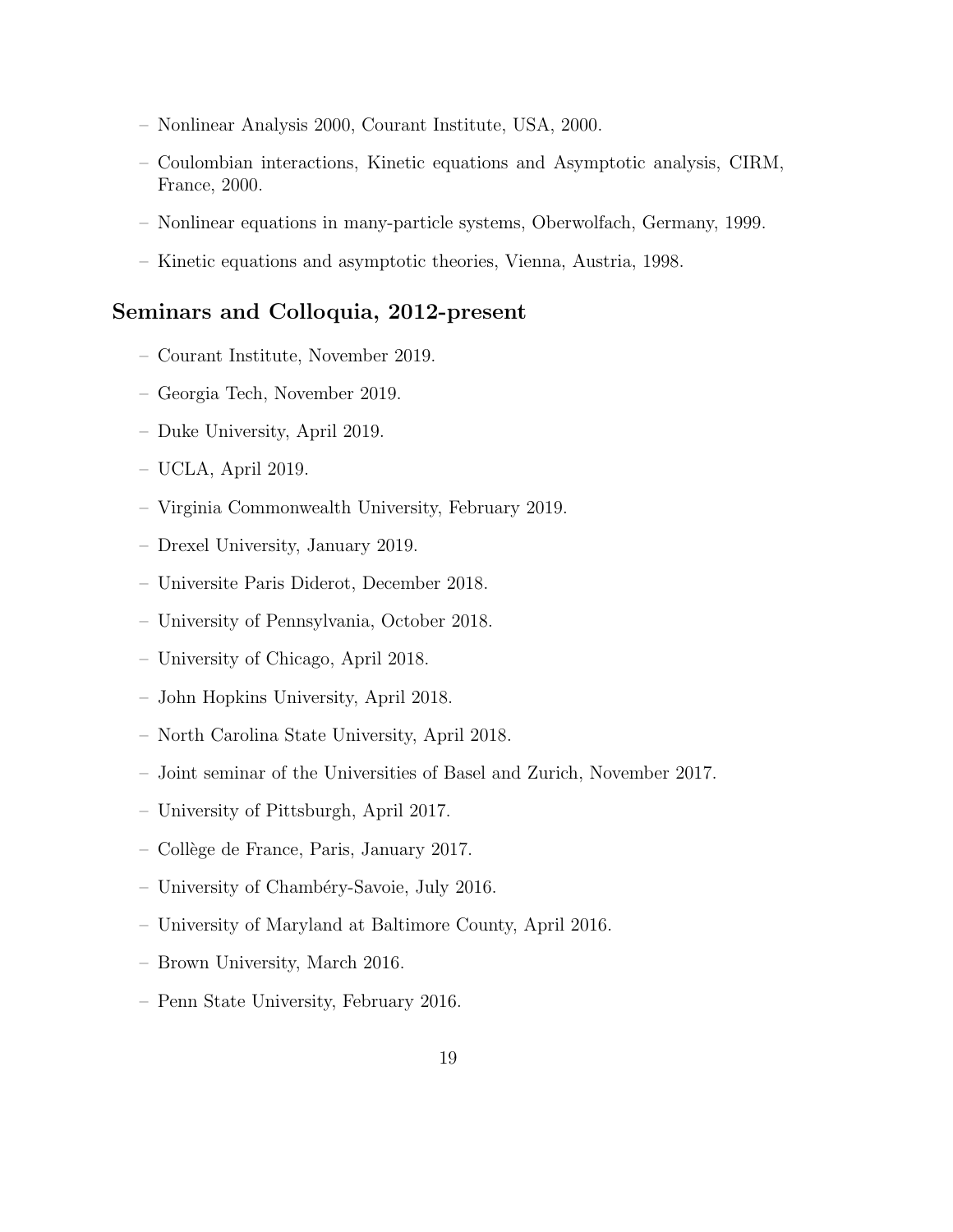- Nonlinear Analysis 2000, Courant Institute, USA, 2000.
- Coulombian interactions, Kinetic equations and Asymptotic analysis, CIRM, France, 2000.
- Nonlinear equations in many-particle systems, Oberwolfach, Germany, 1999.
- Kinetic equations and asymptotic theories, Vienna, Austria, 1998.

### Seminars and Colloquia, 2012-present

- Courant Institute, November 2019.
- Georgia Tech, November 2019.
- Duke University, April 2019.
- UCLA, April 2019.
- Virginia Commonwealth University, February 2019.
- Drexel University, January 2019.
- Universite Paris Diderot, December 2018.
- University of Pennsylvania, October 2018.
- University of Chicago, April 2018.
- John Hopkins University, April 2018.
- North Carolina State University, April 2018.
- Joint seminar of the Universities of Basel and Zurich, November 2017.
- University of Pittsburgh, April 2017.
- Coll`ege de France, Paris, January 2017.
- University of Chambéry-Savoie, July 2016.
- University of Maryland at Baltimore County, April 2016.
- Brown University, March 2016.
- Penn State University, February 2016.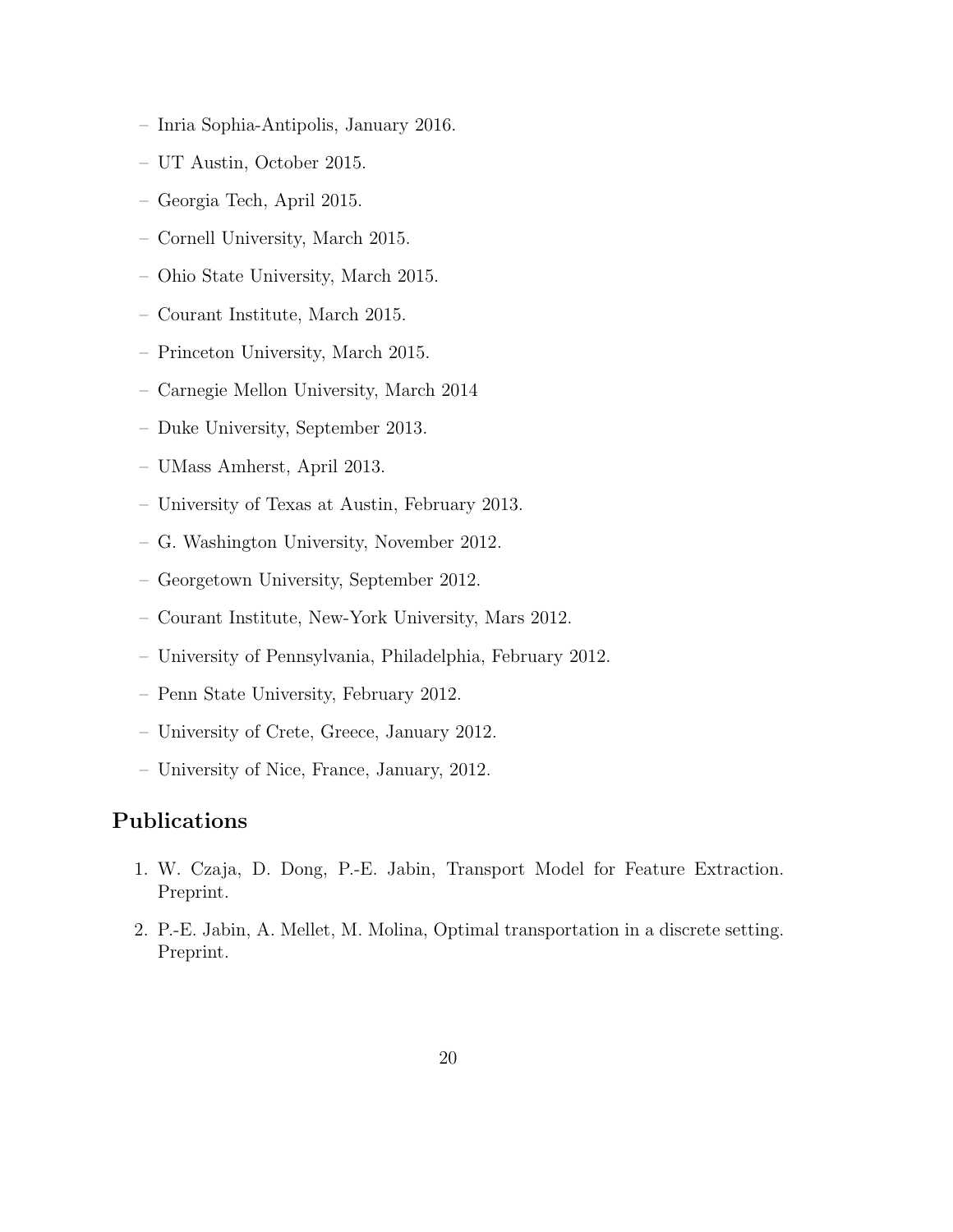- Inria Sophia-Antipolis, January 2016.
- UT Austin, October 2015.
- Georgia Tech, April 2015.
- Cornell University, March 2015.
- Ohio State University, March 2015.
- Courant Institute, March 2015.
- Princeton University, March 2015.
- Carnegie Mellon University, March 2014
- Duke University, September 2013.
- UMass Amherst, April 2013.
- University of Texas at Austin, February 2013.
- G. Washington University, November 2012.
- Georgetown University, September 2012.
- Courant Institute, New-York University, Mars 2012.
- University of Pennsylvania, Philadelphia, February 2012.
- Penn State University, February 2012.
- University of Crete, Greece, January 2012.
- University of Nice, France, January, 2012.

# Publications

- 1. W. Czaja, D. Dong, P.-E. Jabin, Transport Model for Feature Extraction. Preprint.
- 2. P.-E. Jabin, A. Mellet, M. Molina, Optimal transportation in a discrete setting. Preprint.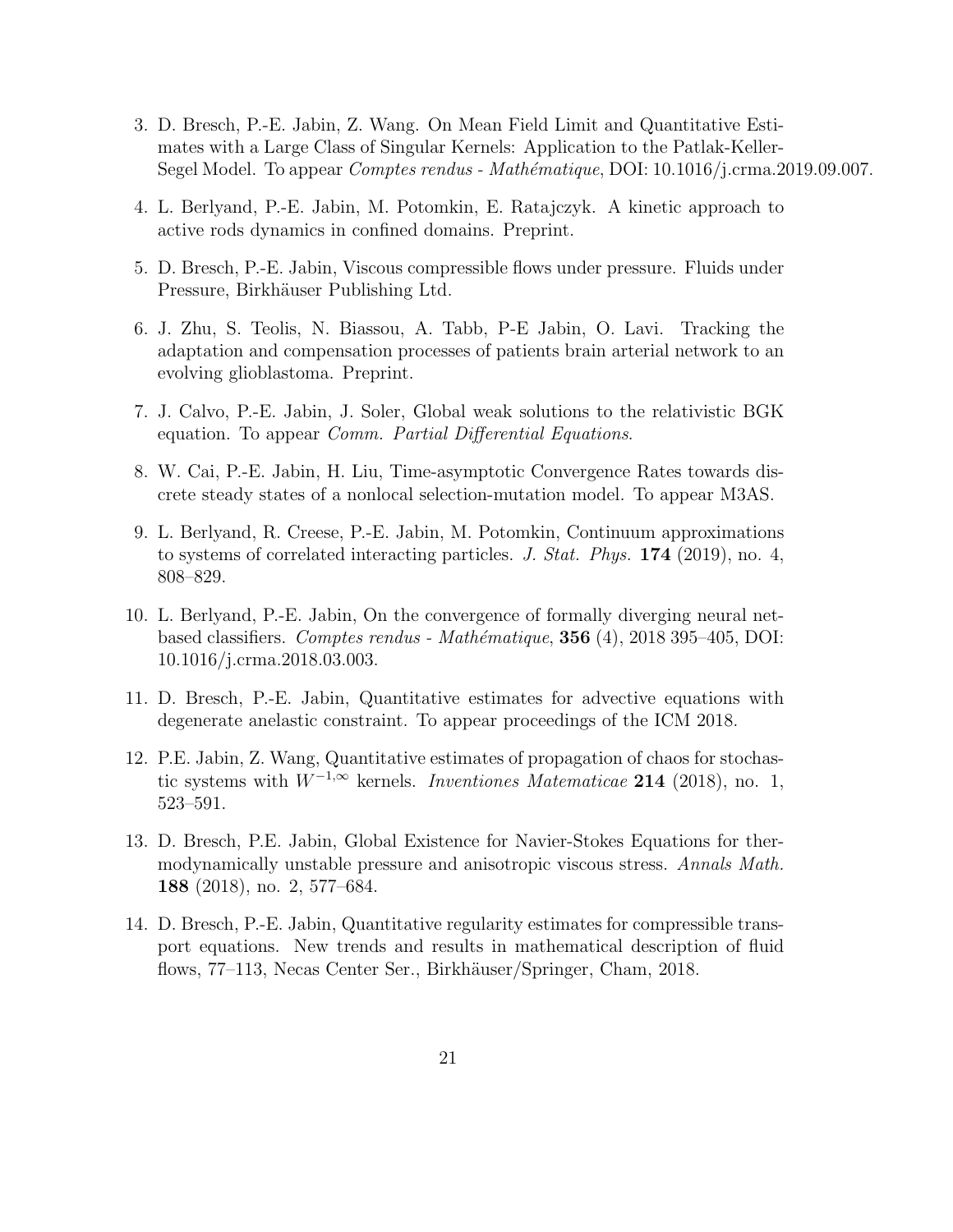- 3. D. Bresch, P.-E. Jabin, Z. Wang. On Mean Field Limit and Quantitative Estimates with a Large Class of Singular Kernels: Application to the Patlak-Keller-Segel Model. To appear *Comptes rendus - Mathématique*, DOI: 10.1016/j.crma.2019.09.007.
- 4. L. Berlyand, P.-E. Jabin, M. Potomkin, E. Ratajczyk. A kinetic approach to active rods dynamics in confined domains. Preprint.
- 5. D. Bresch, P.-E. Jabin, Viscous compressible flows under pressure. Fluids under Pressure, Birkhäuser Publishing Ltd.
- 6. J. Zhu, S. Teolis, N. Biassou, A. Tabb, P-E Jabin, O. Lavi. Tracking the adaptation and compensation processes of patients brain arterial network to an evolving glioblastoma. Preprint.
- 7. J. Calvo, P.-E. Jabin, J. Soler, Global weak solutions to the relativistic BGK equation. To appear *Comm. Partial Differential Equations.*
- 8. W. Cai, P.-E. Jabin, H. Liu, Time-asymptotic Convergence Rates towards discrete steady states of a nonlocal selection-mutation model. To appear M3AS.
- 9. L. Berlyand, R. Creese, P.-E. Jabin, M. Potomkin, Continuum approximations to systems of correlated interacting particles. J. Stat. Phys. 174 (2019), no. 4, 808–829.
- 10. L. Berlyand, P.-E. Jabin, On the convergence of formally diverging neural netbased classifiers. Comptes rendus - Mathématique,  $356$  (4), 2018 395–405, DOI: 10.1016/j.crma.2018.03.003.
- 11. D. Bresch, P.-E. Jabin, Quantitative estimates for advective equations with degenerate anelastic constraint. To appear proceedings of the ICM 2018.
- 12. P.E. Jabin, Z. Wang, Quantitative estimates of propagation of chaos for stochastic systems with  $W^{-1,\infty}$  kernels. Inventiones Matematicae 214 (2018), no. 1, 523–591.
- 13. D. Bresch, P.E. Jabin, Global Existence for Navier-Stokes Equations for thermodynamically unstable pressure and anisotropic viscous stress. Annals Math. 188 (2018), no. 2, 577–684.
- 14. D. Bresch, P.-E. Jabin, Quantitative regularity estimates for compressible transport equations. New trends and results in mathematical description of fluid flows, 77–113, Necas Center Ser., Birkhäuser/Springer, Cham, 2018.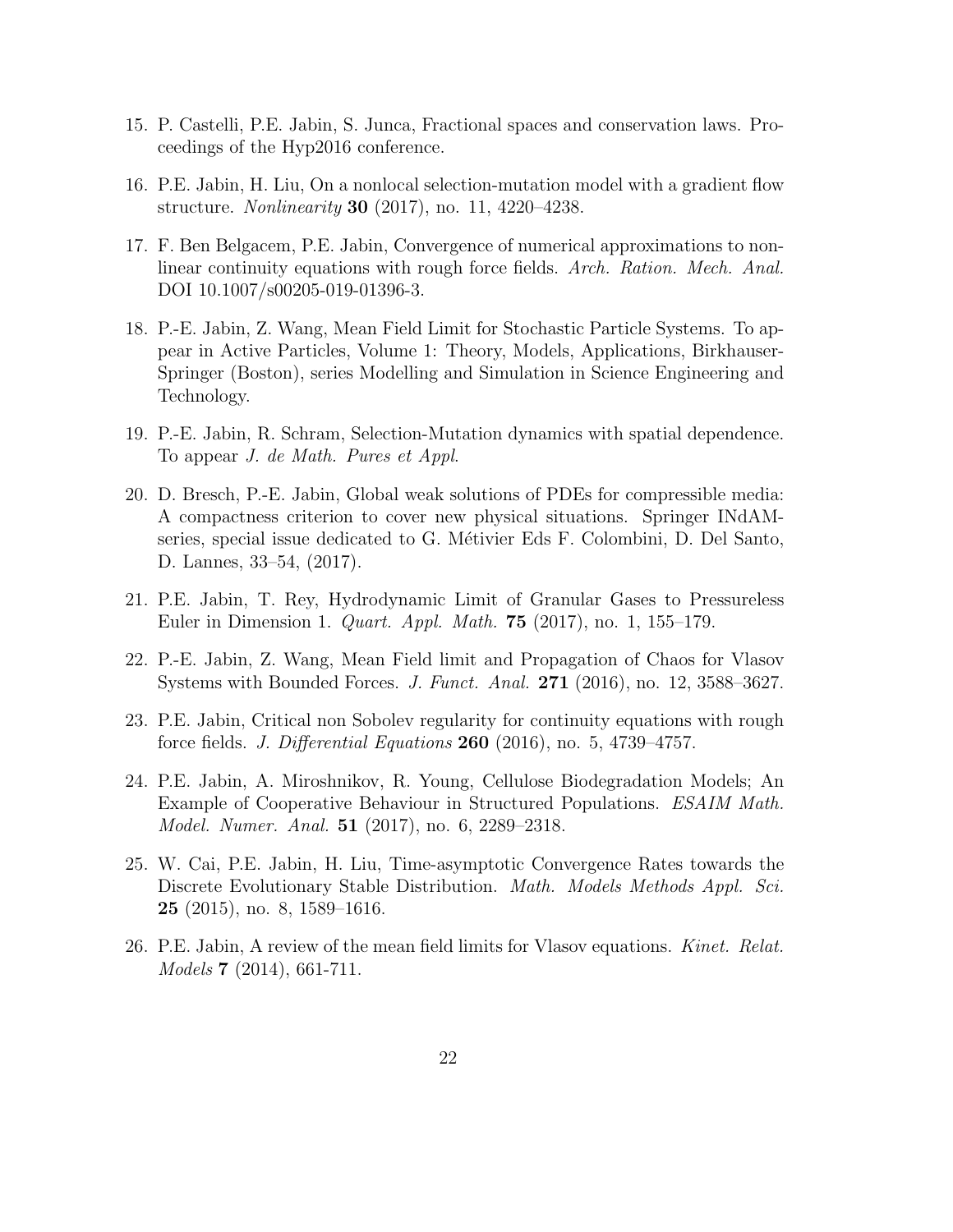- 15. P. Castelli, P.E. Jabin, S. Junca, Fractional spaces and conservation laws. Proceedings of the Hyp2016 conference.
- 16. P.E. Jabin, H. Liu, On a nonlocal selection-mutation model with a gradient flow structure. Nonlinearity 30 (2017), no. 11, 4220–4238.
- 17. F. Ben Belgacem, P.E. Jabin, Convergence of numerical approximations to nonlinear continuity equations with rough force fields. Arch. Ration. Mech. Anal. DOI 10.1007/s00205-019-01396-3.
- 18. P.-E. Jabin, Z. Wang, Mean Field Limit for Stochastic Particle Systems. To appear in Active Particles, Volume 1: Theory, Models, Applications, Birkhauser-Springer (Boston), series Modelling and Simulation in Science Engineering and Technology.
- 19. P.-E. Jabin, R. Schram, Selection-Mutation dynamics with spatial dependence. To appear J. de Math. Pures et Appl.
- 20. D. Bresch, P.-E. Jabin, Global weak solutions of PDEs for compressible media: A compactness criterion to cover new physical situations. Springer INdAMseries, special issue dedicated to G. Métivier Eds F. Colombini, D. Del Santo, D. Lannes, 33–54, (2017).
- 21. P.E. Jabin, T. Rey, Hydrodynamic Limit of Granular Gases to Pressureless Euler in Dimension 1. Quart. Appl. Math. 75 (2017), no. 1, 155–179.
- 22. P.-E. Jabin, Z. Wang, Mean Field limit and Propagation of Chaos for Vlasov Systems with Bounded Forces. J. Funct. Anal. 271 (2016), no. 12, 3588–3627.
- 23. P.E. Jabin, Critical non Sobolev regularity for continuity equations with rough force fields. J. Differential Equations 260 (2016), no. 5, 4739–4757.
- 24. P.E. Jabin, A. Miroshnikov, R. Young, Cellulose Biodegradation Models; An Example of Cooperative Behaviour in Structured Populations. ESAIM Math. Model. Numer. Anal. **51** (2017), no. 6, 2289–2318.
- 25. W. Cai, P.E. Jabin, H. Liu, Time-asymptotic Convergence Rates towards the Discrete Evolutionary Stable Distribution. *Math. Models Methods Appl. Sci.* 25 (2015), no. 8, 1589–1616.
- 26. P.E. Jabin, A review of the mean field limits for Vlasov equations. Kinet. Relat. Models 7 (2014), 661-711.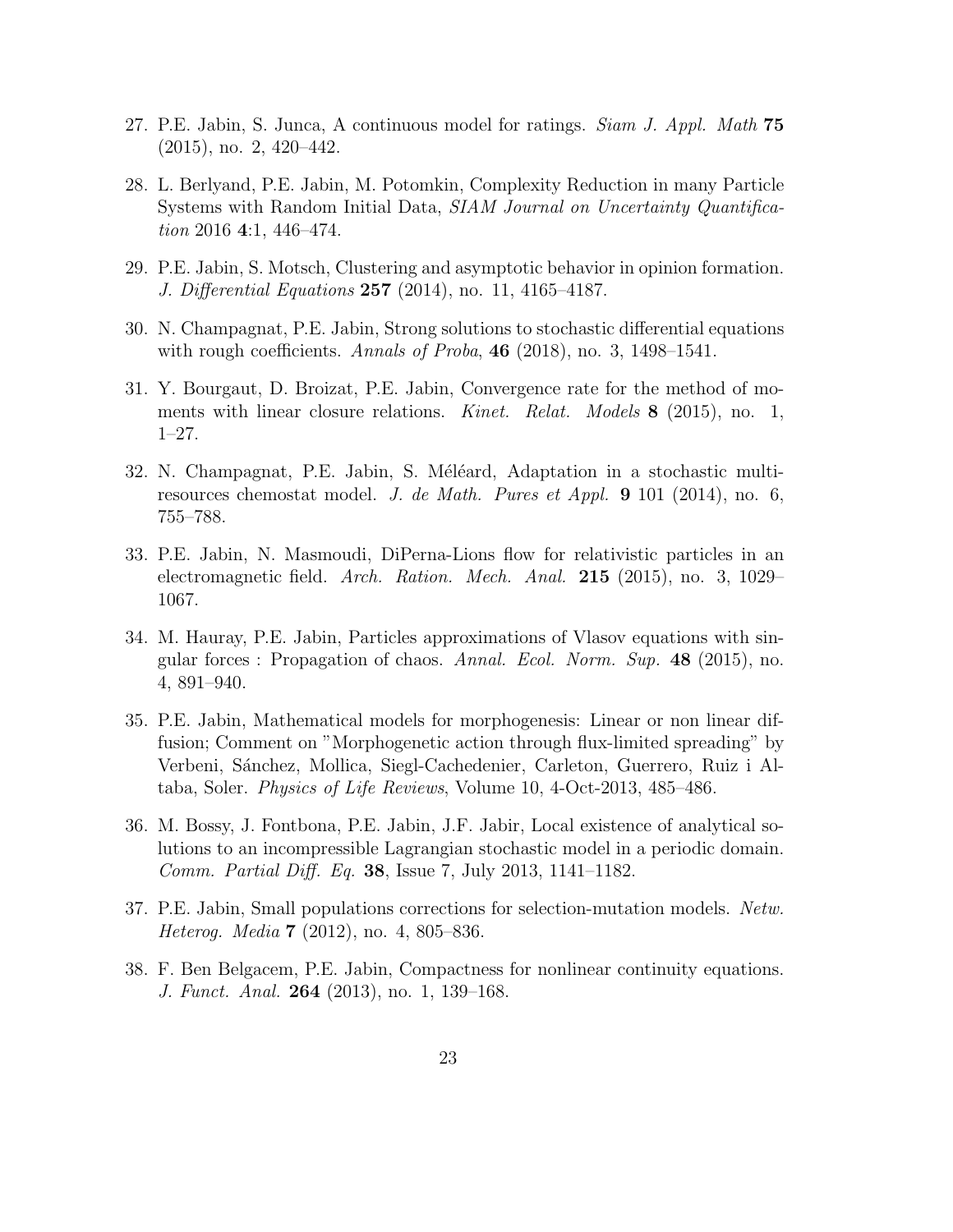- 27. P.E. Jabin, S. Junca, A continuous model for ratings. *Siam J. Appl. Math* 75 (2015), no. 2, 420–442.
- 28. L. Berlyand, P.E. Jabin, M. Potomkin, Complexity Reduction in many Particle Systems with Random Initial Data, SIAM Journal on Uncertainty Quantification 2016 4:1, 446–474.
- 29. P.E. Jabin, S. Motsch, Clustering and asymptotic behavior in opinion formation. *J. Differential Equations* 257 (2014), no. 11, 4165-4187.
- 30. N. Champagnat, P.E. Jabin, Strong solutions to stochastic differential equations with rough coefficients. Annals of Proba,  $46$  (2018), no. 3, 1498–1541.
- 31. Y. Bourgaut, D. Broizat, P.E. Jabin, Convergence rate for the method of moments with linear closure relations. Kinet. Relat. Models 8 (2015), no. 1, 1–27.
- 32. N. Champagnat, P.E. Jabin, S. Méléard, Adaptation in a stochastic multiresources chemostat model. J. de Math. Pures et Appl. 9 101 (2014), no. 6, 755–788.
- 33. P.E. Jabin, N. Masmoudi, DiPerna-Lions flow for relativistic particles in an electromagnetic field. Arch. Ration. Mech. Anal. 215 (2015), no. 3, 1029– 1067.
- 34. M. Hauray, P.E. Jabin, Particles approximations of Vlasov equations with singular forces : Propagation of chaos. Annal. Ecol. Norm. Sup. 48 (2015), no. 4, 891–940.
- 35. P.E. Jabin, Mathematical models for morphogenesis: Linear or non linear diffusion; Comment on "Morphogenetic action through flux-limited spreading" by Verbeni, Sánchez, Mollica, Siegl-Cachedenier, Carleton, Guerrero, Ruiz i Altaba, Soler. Physics of Life Reviews, Volume 10, 4-Oct-2013, 485–486.
- 36. M. Bossy, J. Fontbona, P.E. Jabin, J.F. Jabir, Local existence of analytical solutions to an incompressible Lagrangian stochastic model in a periodic domain. Comm. Partial Diff. Eq. 38, Issue 7, July 2013, 1141–1182.
- 37. P.E. Jabin, Small populations corrections for selection-mutation models. Netw. Heterog. Media 7 (2012), no. 4, 805–836.
- 38. F. Ben Belgacem, P.E. Jabin, Compactness for nonlinear continuity equations. J. Funct. Anal. **264** (2013), no. 1, 139-168.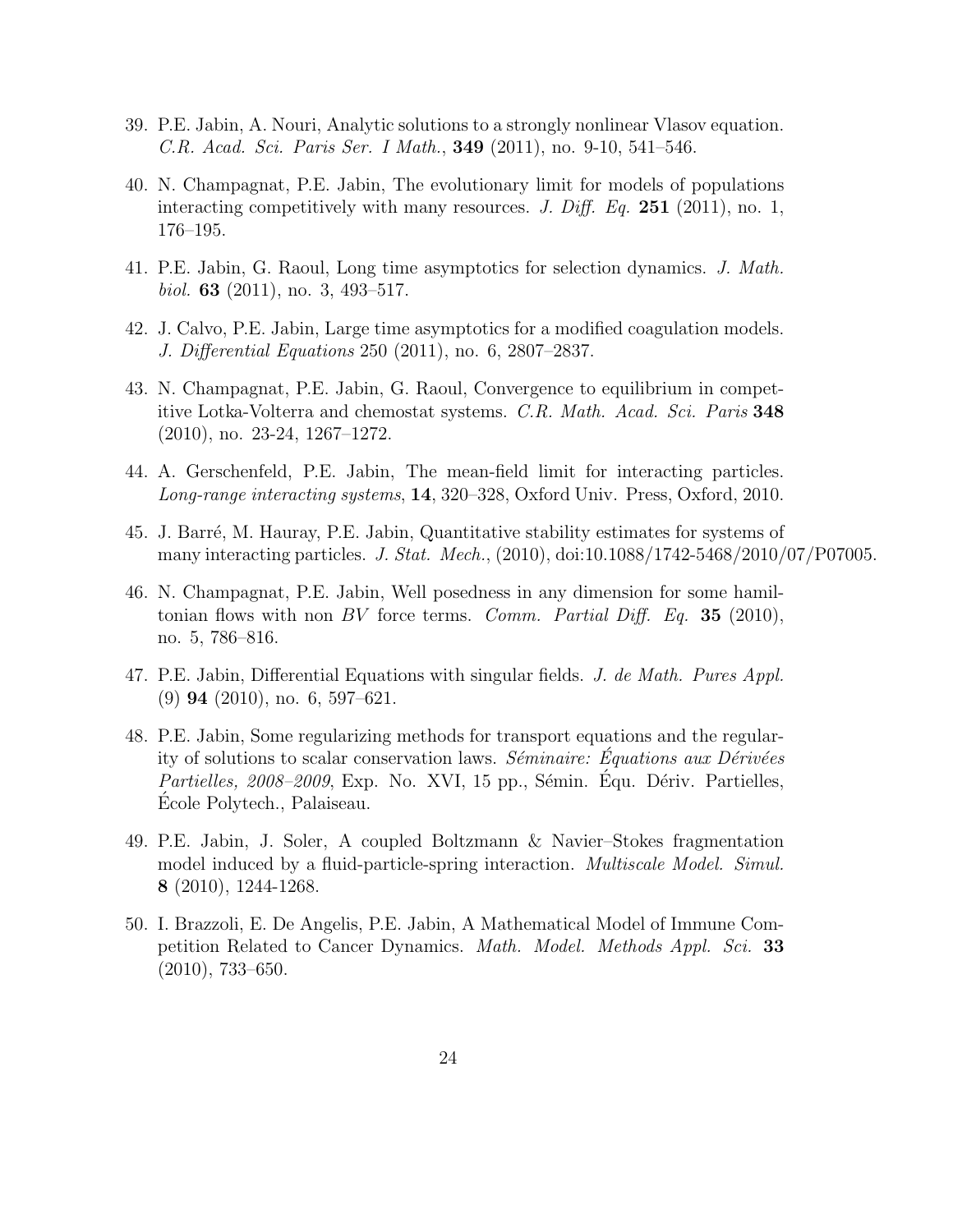- 39. P.E. Jabin, A. Nouri, Analytic solutions to a strongly nonlinear Vlasov equation. C.R. Acad. Sci. Paris Ser. I Math., 349 (2011), no. 9-10, 541–546.
- 40. N. Champagnat, P.E. Jabin, The evolutionary limit for models of populations interacting competitively with many resources. J. Diff. Eq.  $251$  (2011), no. 1, 176–195.
- 41. P.E. Jabin, G. Raoul, Long time asymptotics for selection dynamics. J. Math. *biol.* **63** (2011), no. 3, 493–517.
- 42. J. Calvo, P.E. Jabin, Large time asymptotics for a modified coagulation models. J. Differential Equations 250 (2011), no. 6, 2807–2837.
- 43. N. Champagnat, P.E. Jabin, G. Raoul, Convergence to equilibrium in competitive Lotka-Volterra and chemostat systems. C.R. Math. Acad. Sci. Paris 348 (2010), no. 23-24, 1267–1272.
- 44. A. Gerschenfeld, P.E. Jabin, The mean-field limit for interacting particles. Long-range interacting systems, 14, 320–328, Oxford Univ. Press, Oxford, 2010.
- 45. J. Barré, M. Hauray, P.E. Jabin, Quantitative stability estimates for systems of many interacting particles. J. Stat. Mech., (2010), doi:10.1088/1742-5468/2010/07/P07005.
- 46. N. Champagnat, P.E. Jabin, Well posedness in any dimension for some hamiltonian flows with non BV force terms. Comm. Partial Diff. Eq. 35 (2010), no. 5, 786–816.
- 47. P.E. Jabin, Differential Equations with singular fields. J. de Math. Pures Appl. (9) 94 (2010), no. 6, 597–621.
- 48. P.E. Jabin, Some regularizing methods for transport equations and the regularity of solutions to scalar conservation laws. Séminaire: Équations aux Dérivées *Partielles, 2008–2009*, Exp. No. XVI, 15 pp., Sémin. Équ. Dériv. Partielles, Ecole Polytech., Palaiseau. ´
- 49. P.E. Jabin, J. Soler, A coupled Boltzmann & Navier–Stokes fragmentation model induced by a fluid-particle-spring interaction. *Multiscale Model. Simul.* 8 (2010), 1244-1268.
- 50. I. Brazzoli, E. De Angelis, P.E. Jabin, A Mathematical Model of Immune Competition Related to Cancer Dynamics. Math. Model. Methods Appl. Sci. 33 (2010), 733–650.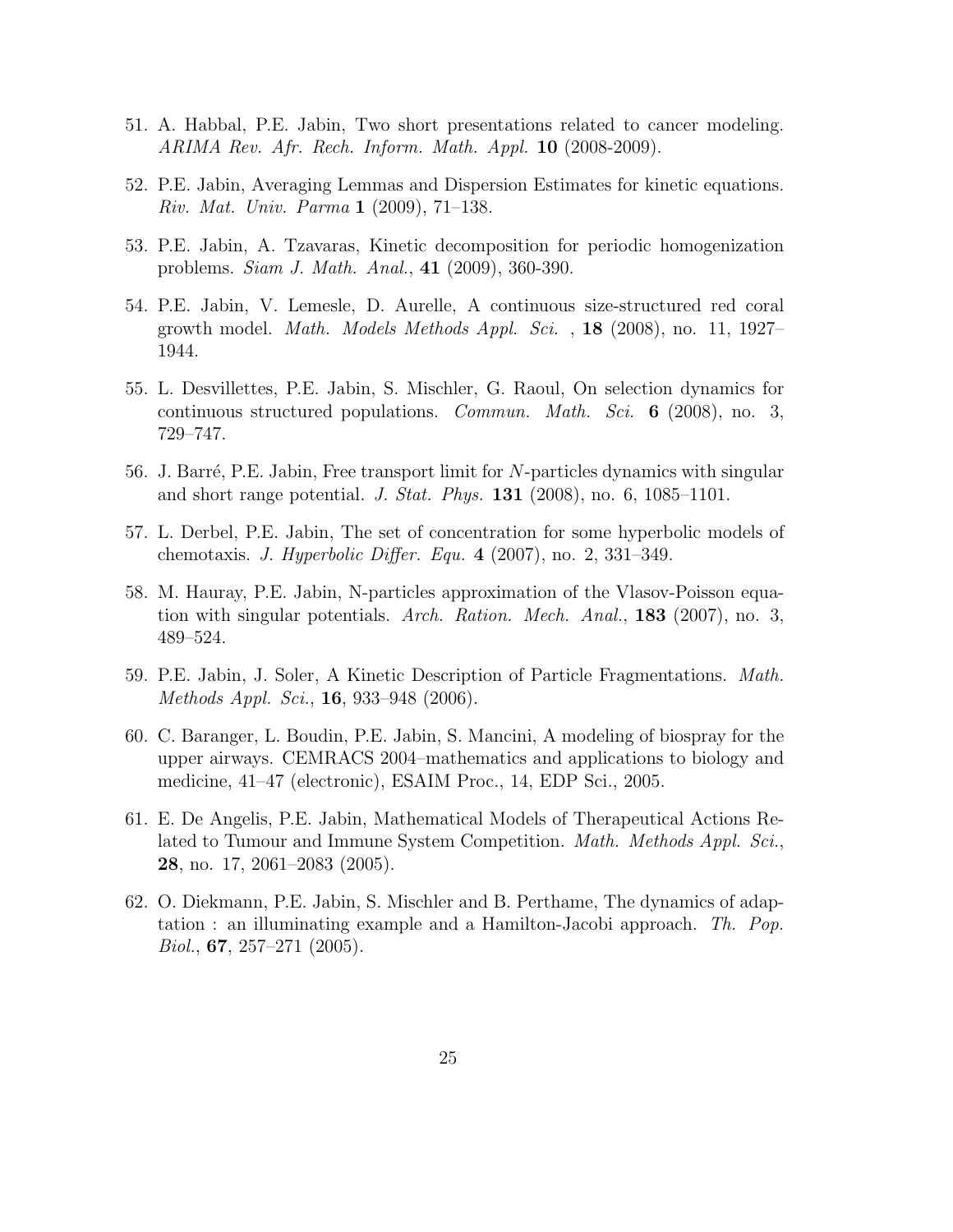- 51. A. Habbal, P.E. Jabin, Two short presentations related to cancer modeling. ARIMA Rev. Afr. Rech. Inform. Math. Appl.  $10$  (2008-2009).
- 52. P.E. Jabin, Averaging Lemmas and Dispersion Estimates for kinetic equations. Riv. Mat. Univ. Parma 1 (2009), 71–138.
- 53. P.E. Jabin, A. Tzavaras, Kinetic decomposition for periodic homogenization problems. Siam J. Math. Anal., 41 (2009), 360-390.
- 54. P.E. Jabin, V. Lemesle, D. Aurelle, A continuous size-structured red coral growth model. *Math. Models Methods Appl. Sci.*,  $18$  (2008), no. 11, 1927– 1944.
- 55. L. Desvillettes, P.E. Jabin, S. Mischler, G. Raoul, On selection dynamics for continuous structured populations. Commun. Math. Sci. 6 (2008), no. 3, 729–747.
- 56. J. Barré, P.E. Jabin, Free transport limit for  $N$ -particles dynamics with singular and short range potential. J. Stat. Phys. 131 (2008), no. 6, 1085–1101.
- 57. L. Derbel, P.E. Jabin, The set of concentration for some hyperbolic models of chemotaxis. J. Hyperbolic Differ. Equ. 4 (2007), no. 2, 331–349.
- 58. M. Hauray, P.E. Jabin, N-particles approximation of the Vlasov-Poisson equation with singular potentials. Arch. Ration. Mech. Anal., 183 (2007), no. 3, 489–524.
- 59. P.E. Jabin, J. Soler, A Kinetic Description of Particle Fragmentations. Math. Methods Appl. Sci., **16**, 933–948 (2006).
- 60. C. Baranger, L. Boudin, P.E. Jabin, S. Mancini, A modeling of biospray for the upper airways. CEMRACS 2004–mathematics and applications to biology and medicine, 41–47 (electronic), ESAIM Proc., 14, EDP Sci., 2005.
- 61. E. De Angelis, P.E. Jabin, Mathematical Models of Therapeutical Actions Related to Tumour and Immune System Competition. Math. Methods Appl. Sci., 28, no. 17, 2061–2083 (2005).
- 62. O. Diekmann, P.E. Jabin, S. Mischler and B. Perthame, The dynamics of adaptation : an illuminating example and a Hamilton-Jacobi approach. Th. Pop.  $Biol., 67, 257–271 (2005).$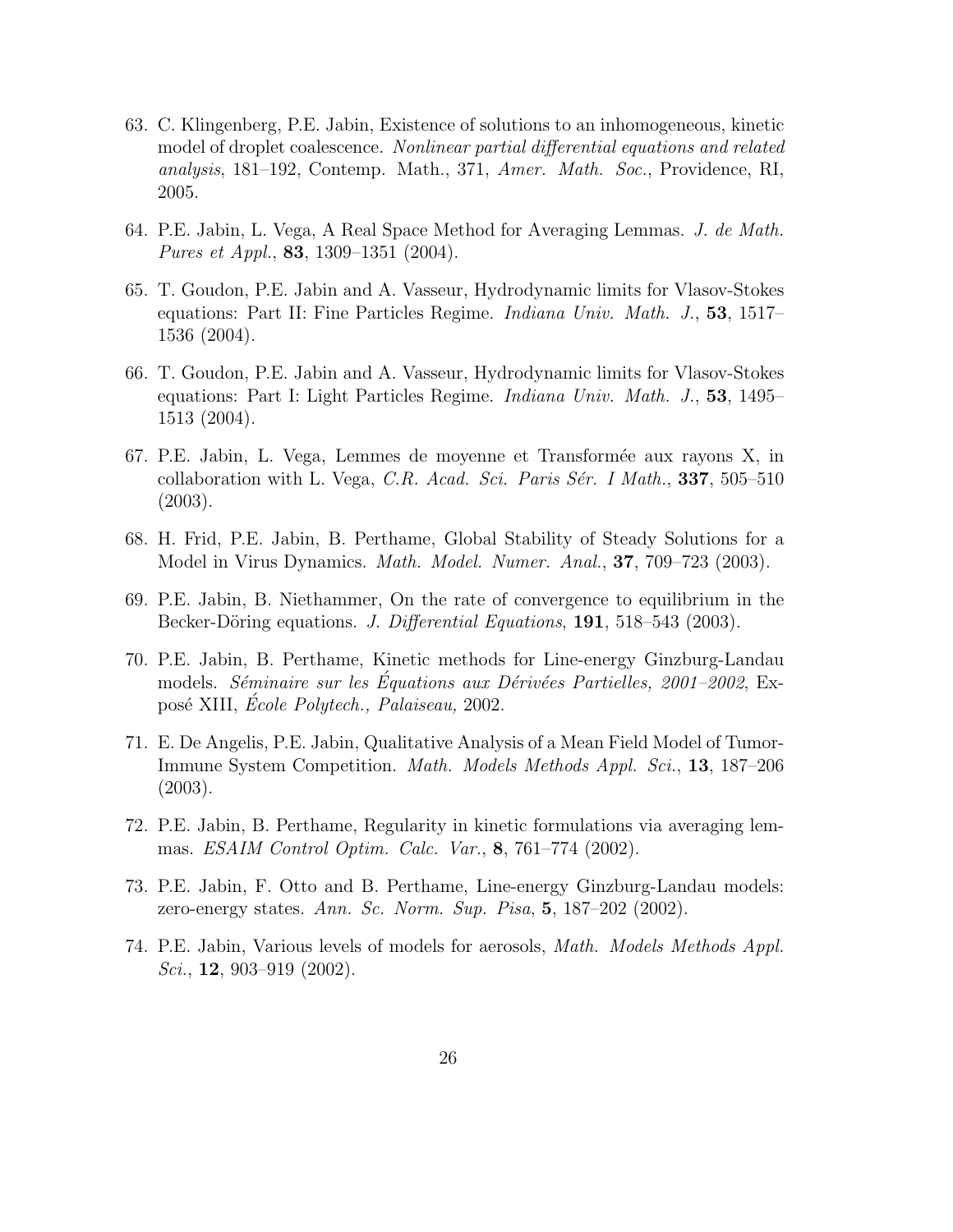- 63. C. Klingenberg, P.E. Jabin, Existence of solutions to an inhomogeneous, kinetic model of droplet coalescence. Nonlinear partial differential equations and related analysis, 181–192, Contemp. Math., 371, Amer. Math. Soc., Providence, RI, 2005.
- 64. P.E. Jabin, L. Vega, A Real Space Method for Averaging Lemmas. J. de Math. *Pures et Appl.*, **83**, 1309–1351 (2004).
- 65. T. Goudon, P.E. Jabin and A. Vasseur, Hydrodynamic limits for Vlasov-Stokes equations: Part II: Fine Particles Regime. Indiana Univ. Math. J., 53, 1517– 1536 (2004).
- 66. T. Goudon, P.E. Jabin and A. Vasseur, Hydrodynamic limits for Vlasov-Stokes equations: Part I: Light Particles Regime. Indiana Univ. Math. J., 53, 1495– 1513 (2004).
- 67. P.E. Jabin, L. Vega, Lemmes de moyenne et Transform´ee aux rayons X, in collaboration with L. Vega, C.R. Acad. Sci. Paris Sér. I Math.,  $337, 505-510$ (2003).
- 68. H. Frid, P.E. Jabin, B. Perthame, Global Stability of Steady Solutions for a Model in Virus Dynamics. *Math. Model. Numer. Anal.*, **37**, 709–723 (2003).
- 69. P.E. Jabin, B. Niethammer, On the rate of convergence to equilibrium in the Becker-Döring equations. J. Differential Equations, 191, 518–543 (2003).
- 70. P.E. Jabin, B. Perthame, Kinetic methods for Line-energy Ginzburg-Landau models. Séminaire sur les Équations aux Dérivées Partielles, 2001–2002, Exposé XIII, École Polytech., Palaiseau, 2002.
- 71. E. De Angelis, P.E. Jabin, Qualitative Analysis of a Mean Field Model of Tumor-Immune System Competition. Math. Models Methods Appl. Sci., 13, 187–206 (2003).
- 72. P.E. Jabin, B. Perthame, Regularity in kinetic formulations via averaging lemmas. ESAIM Control Optim. Calc. Var., 8, 761–774 (2002).
- 73. P.E. Jabin, F. Otto and B. Perthame, Line-energy Ginzburg-Landau models: zero-energy states. Ann. Sc. Norm. Sup. Pisa, 5, 187–202 (2002).
- 74. P.E. Jabin, Various levels of models for aerosols, Math. Models Methods Appl. Sci., **12**, 903–919 (2002).